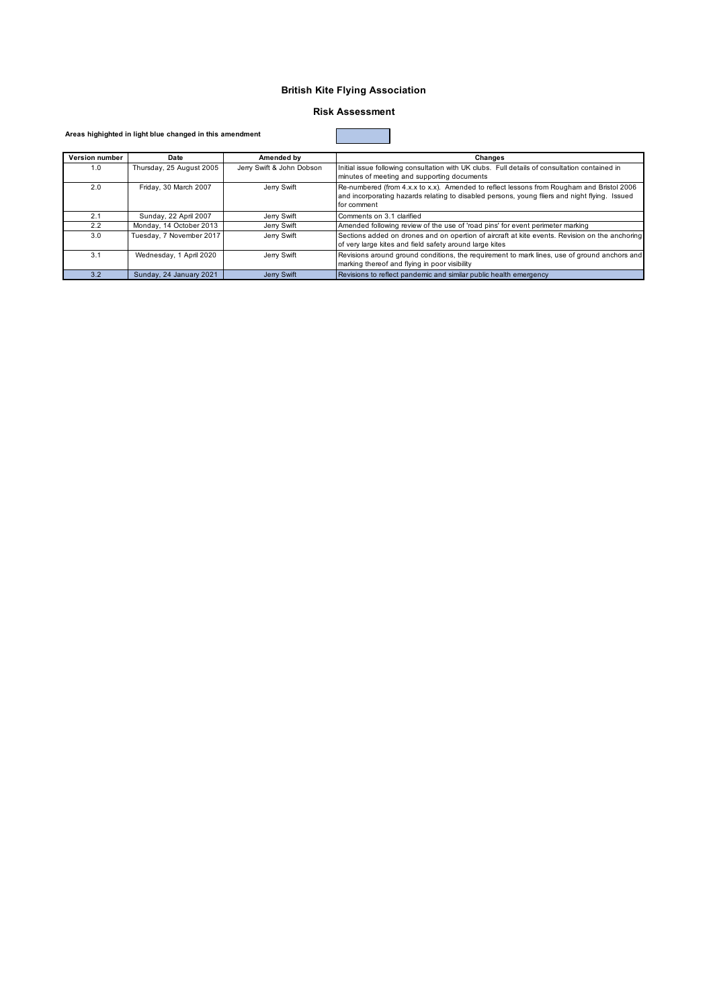### **British Kite Flying Association**

### **Risk Assessment**

#### **Areas highighted in light blue changed in this amendment**

| Version number | Date                     | Amended by                | Changes                                                                                                                                                                                                   |
|----------------|--------------------------|---------------------------|-----------------------------------------------------------------------------------------------------------------------------------------------------------------------------------------------------------|
| 1.0            | Thursday, 25 August 2005 | Jerry Swift & John Dobson | Initial issue following consultation with UK clubs. Full details of consultation contained in<br>minutes of meeting and supporting documents                                                              |
| 2.0            | Friday, 30 March 2007    | Jerry Swift               | Re-numbered (from 4.x.x to x.x). Amended to reflect lessons from Rougham and Bristol 2006<br>and incorporating hazards relating to disabled persons, young fliers and night flying. Issued<br>for comment |
| 2.1            | Sunday, 22 April 2007    | Jerry Swift               | Comments on 3.1 clarified                                                                                                                                                                                 |
| 2.2            | Monday, 14 October 2013  | Jerry Swift               | Amended following review of the use of 'road pins' for event perimeter marking                                                                                                                            |
| 3.0            | Tuesday, 7 November 2017 | Jerry Swift               | Sections added on drones and on opertion of aircraft at kite events. Revision on the anchoring<br>of very large kites and field safety around large kites                                                 |
| 3.1            | Wednesday, 1 April 2020  | Jerry Swift               | Revisions around ground conditions, the requirement to mark lines, use of ground anchors and<br>marking thereof and flying in poor visibility                                                             |
| 3.2            | Sunday, 24 January 2021  | Jerry Swift               | Revisions to reflect pandemic and similar public health emergency                                                                                                                                         |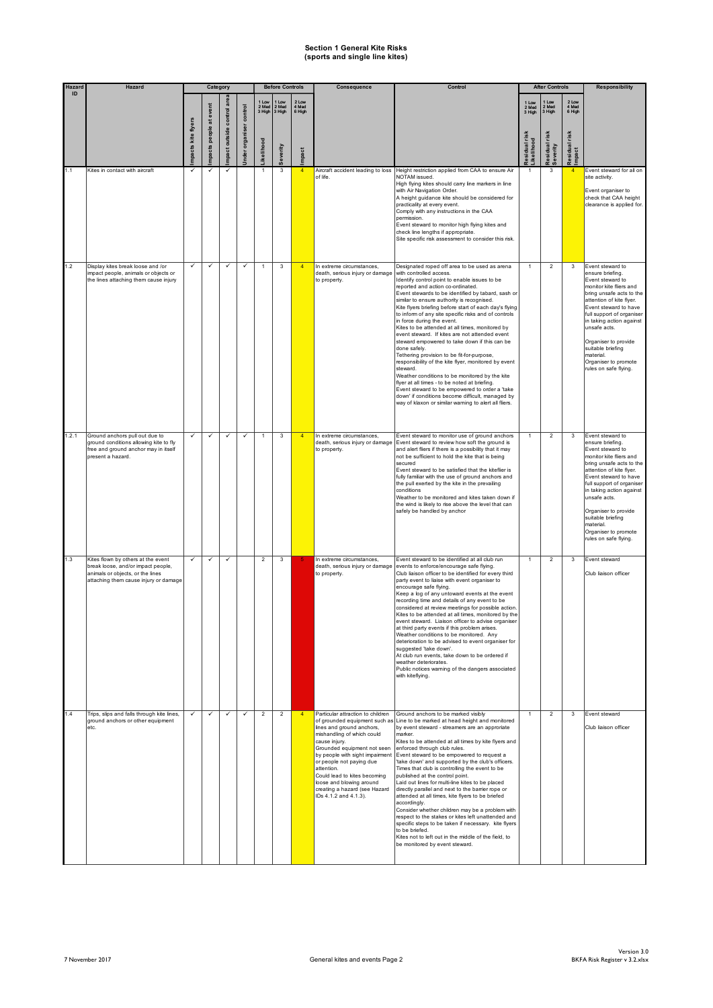| Hazard | Hazard                                                                                                                                                |                    | Category           |                            |                        |                | <b>Before Controls</b>            |                          | Consequence                                                                                                                                                                                                                                                                                                                                     | Control                                                                                                                                                                                                                                                                                                                                                                                                                                                                                                                                                                                                                                                                                                                                                                                                                                                                                                                                                                      |                                                      | <b>After Controls</b>                               |                                                        | Responsibility                                                                                                                                                                                                                                                                                                                                           |
|--------|-------------------------------------------------------------------------------------------------------------------------------------------------------|--------------------|--------------------|----------------------------|------------------------|----------------|-----------------------------------|--------------------------|-------------------------------------------------------------------------------------------------------------------------------------------------------------------------------------------------------------------------------------------------------------------------------------------------------------------------------------------------|------------------------------------------------------------------------------------------------------------------------------------------------------------------------------------------------------------------------------------------------------------------------------------------------------------------------------------------------------------------------------------------------------------------------------------------------------------------------------------------------------------------------------------------------------------------------------------------------------------------------------------------------------------------------------------------------------------------------------------------------------------------------------------------------------------------------------------------------------------------------------------------------------------------------------------------------------------------------------|------------------------------------------------------|-----------------------------------------------------|--------------------------------------------------------|----------------------------------------------------------------------------------------------------------------------------------------------------------------------------------------------------------------------------------------------------------------------------------------------------------------------------------------------------------|
| ID     |                                                                                                                                                       | mpacts kite flyers | at event<br>people | mpact outside control are: | nder organiser control | kelihood       | 2 Med<br>3 High 3 High<br>everity | 2 Low<br>4 Med<br>6 High |                                                                                                                                                                                                                                                                                                                                                 |                                                                                                                                                                                                                                                                                                                                                                                                                                                                                                                                                                                                                                                                                                                                                                                                                                                                                                                                                                              | 1 Low<br>2 Med<br>3 High<br>sidual rish<br>ikelihood | I Low<br>2 Med<br>3 High<br>esidual risk<br>everity | 2 Low<br>4 Med<br>6 High<br>risk<br>Residual<br>Impact |                                                                                                                                                                                                                                                                                                                                                          |
| 1.1    | Kites in contact with aircraft                                                                                                                        |                    | mpacts             |                            |                        | 1              | 3                                 | mpact<br>$\overline{4}$  |                                                                                                                                                                                                                                                                                                                                                 | Height restriction applied from CAA to ensure Air                                                                                                                                                                                                                                                                                                                                                                                                                                                                                                                                                                                                                                                                                                                                                                                                                                                                                                                            |                                                      | 3                                                   | $\overline{4}$                                         | Event steward for all on                                                                                                                                                                                                                                                                                                                                 |
|        |                                                                                                                                                       |                    |                    |                            |                        |                |                                   |                          | Aircraft accident leading to loss<br>of life.                                                                                                                                                                                                                                                                                                   | NOTAM issued.<br>High flying kites should carry line markers in line<br>with Air Navigation Order.<br>A height guidance kite should be considered for<br>practicality at every event.<br>Comply with any instructions in the CAA<br>permission.<br>Event steward to monitor high flying kites and<br>check line lengths if appropriate.<br>Site specific risk assessment to consider this risk.                                                                                                                                                                                                                                                                                                                                                                                                                                                                                                                                                                              |                                                      |                                                     |                                                        | site activity.<br>Event organiser to<br>check that CAA height<br>clearance is applied for.                                                                                                                                                                                                                                                               |
| 1.2    | Display kites break loose and /or<br>impact people, animals or objects or<br>the lines attaching them cause injury                                    |                    | ✓                  | $\checkmark$               | $\checkmark$           | 1              | 3                                 | $\overline{4}$           | In extreme circumstances,<br>death, serious injury or damage<br>to property.                                                                                                                                                                                                                                                                    | Designated roped off area to be used as arena<br>with controlled access.<br>Identify control point to enable issues to be<br>reported and action co-ordinated.<br>Event stewards to be identified by tabard, sash or<br>similar to ensure authority is recognised.<br>Kite flyers briefing before start of each day's flying<br>to inform of any site specific risks and of controls<br>in force during the event.<br>Kites to be attended at all times, monitored by<br>event steward. If kites are not attended event<br>steward empowered to take down if this can be<br>done safely.<br>Tethering provision to be fit-for-purpose,<br>responsibility of the kite flyer, monitored by event<br>steward.<br>Weather conditions to be monitored by the kite<br>flyer at all times - to be noted at briefing.<br>Event steward to be empowered to order a 'take<br>down' if conditions become difficult, managed by<br>way of klaxon or similar warning to alert all fliers. |                                                      | $\overline{2}$                                      | 3                                                      | Event steward to<br>ensure briefing.<br>Event steward to<br>monitor kite fliers and<br>bring unsafe acts to the<br>attention of kite flyer.<br>Event steward to have<br>full support of organiser<br>in taking action against<br>unsafe acts.<br>Organiser to provide<br>suitable briefing<br>material.<br>Organiser to promote<br>rules on safe flying. |
| 1.2.1  | Ground anchors pull out due to<br>ground conditions allowing kite to fly<br>free and ground anchor may in itself<br>present a hazard.                 | ✓                  | ✓                  | ✓                          | $\checkmark$           | $\mathbf{1}$   | 3                                 | $\overline{4}$           | In extreme circumstances,<br>death, serious injury or damage<br>to property.                                                                                                                                                                                                                                                                    | Event steward to monitor use of ground anchors<br>Event steward to review how soft the ground is<br>and alert fliers if there is a possibility that it may<br>not be sufficient to hold the kite that is being<br>secured<br>Event steward to be satisfied that the kiteflier is<br>fully familiar with the use of ground anchors and<br>the pull exerted by the kite in the prevailing<br>conditions<br>Weather to be monitored and kites taken down if<br>the wind is likely to rise above the level that can<br>safely be handled by anchor                                                                                                                                                                                                                                                                                                                                                                                                                               | $\mathbf{1}$                                         | $\overline{2}$                                      | 3                                                      | Event steward to<br>ensure briefing.<br>Event steward to<br>monitor kite fliers and<br>bring unsafe acts to the<br>attention of kite flyer.<br>Event steward to have<br>full support of organiser<br>in taking action against<br>unsafe acts.<br>Organiser to provide<br>suitable briefing<br>material.<br>Organiser to promote<br>rules on safe flying. |
| 1.3    | Kites flown by others at the event<br>break loose, and/or impact people,<br>animals or objects, or the lines<br>attaching them cause injury or damage | $\checkmark$       | ✓                  | $\checkmark$               |                        | $\overline{2}$ | 3                                 |                          | In extreme circumstances,<br>death, serious injury or damage<br>to property.                                                                                                                                                                                                                                                                    | Event steward to be identified at all club run<br>events to enforce/encourage safe flying.<br>Club liaison officer to be identified for every third<br>party event to liaise with event organiser to<br>encourage safe flying.<br>Keep a log of any untoward events at the event<br>recording time and details of any event to be<br>considered at review meetings for possible action.<br>Kites to be attended at all times, monitored by the<br>event steward. Liaison officer to advise organiser<br>at third party events if this problem arises.<br>Weather conditions to be monitored. Any<br>deterioration to be advised to event organiser for<br>suggested 'take down'.<br>At club run events, take down to be ordered if<br>weather deteriorates.<br>Public notices warning of the dangers associated<br>with kiteflying.                                                                                                                                          | $\mathbf{1}$                                         | $\overline{2}$                                      | 3                                                      | Event steward<br>Club liaison officer                                                                                                                                                                                                                                                                                                                    |
| 1.4    | Trips, slips and falls through kite lines,<br>ground anchors or other equipment<br>etc.                                                               | $\checkmark$       | $\checkmark$       | $\checkmark$               | $\checkmark$           | $\overline{2}$ | $\overline{2}$                    | $\overline{4}$           | Particular attraction to children<br>lines and ground anchors,<br>mishandling of which could<br>cause injury.<br>Grounded equipment not seen<br>by people with sight impairment<br>or people not paying due<br>attention.<br>Could lead to kites becoming<br>loose and blowing around<br>creating a hazard (see Hazard<br>IDs 4.1.2 and 4.1.3). | Ground anchors to be marked visibly<br>of grounded equipment such as Line to be marked at head height and monitored<br>by event steward - streamers are an approriate<br>marker.<br>Kites to be attended at all times by kite flyers and<br>enforced through club rules.<br>Event steward to be empowered to request a<br>'take down' and supported by the club's officers.<br>Times that club is controlling the event to be<br>published at the control point.<br>Laid out lines for multi-line kites to be placed<br>directly parallel and next to the barrier rope or<br>attended at all times, kite flyers to be briefed<br>accordingly.<br>Consider whether children may be a problem with<br>respect to the stakes or kites left unattended and<br>specific steps to be taken if necessary. kite flyers<br>to be briefed.<br>Kites not to left out in the middle of the field, to<br>be monitored by event steward.                                                   | $\mathbf{1}$                                         | $\overline{2}$                                      | 3                                                      | Event steward<br>Club liaison officer                                                                                                                                                                                                                                                                                                                    |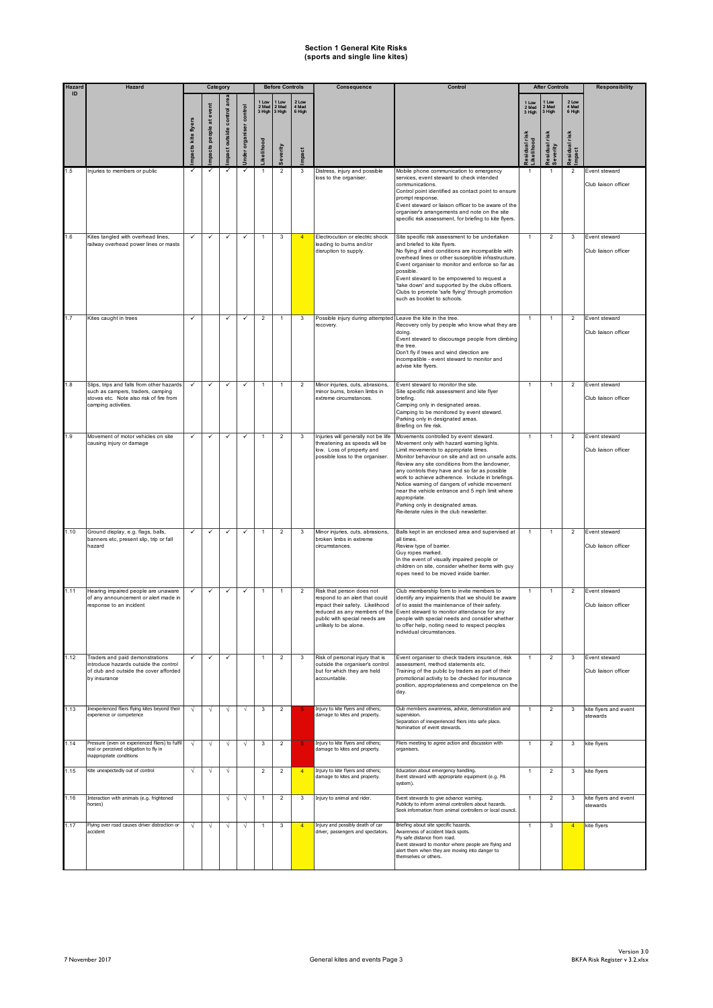| Hazard<br>ID | <b>Hazard</b>                                                                                                                                    |                    | Category                     |                         |                           |                                       | <b>Before Controls</b>               |                                   | Consequence                                                                                                                                              | Control                                                                                                                                                                                                                                                                                                                                                                                                                                                                                                                                       |                                                              | <b>After Controls</b>                                |                                                           | <b>Responsibility</b>                 |
|--------------|--------------------------------------------------------------------------------------------------------------------------------------------------|--------------------|------------------------------|-------------------------|---------------------------|---------------------------------------|--------------------------------------|-----------------------------------|----------------------------------------------------------------------------------------------------------------------------------------------------------|-----------------------------------------------------------------------------------------------------------------------------------------------------------------------------------------------------------------------------------------------------------------------------------------------------------------------------------------------------------------------------------------------------------------------------------------------------------------------------------------------------------------------------------------------|--------------------------------------------------------------|------------------------------------------------------|-----------------------------------------------------------|---------------------------------------|
|              |                                                                                                                                                  | mpacts kite flyers | at event<br>people<br>mpacts | mpact outside control   | control<br>nder organiser | 1 Lov<br>2 Med<br>3 High<br>ikelihood | Low<br>2 Med<br>3 High<br>everity    | 2 Low<br>4 Med<br>6 High<br>mpact |                                                                                                                                                          |                                                                                                                                                                                                                                                                                                                                                                                                                                                                                                                                               | 1 Low<br>2 Med<br>3 High<br>esidual risk<br><b>ikelihood</b> | 1 Low<br>2 Med<br>3 High<br>Residual risk<br>everity | 2 Low<br>4 Med<br>6 High<br><b>Residual risk</b><br>mpact |                                       |
| 1.5          | Injuries to members or public                                                                                                                    | ✓                  | ✓                            |                         | $\checkmark$              |                                       | $\overline{2}$                       | $\mathbf{3}$                      | Distress, injury and possible<br>loss to the organiser.                                                                                                  | Mobile phone communication to emergency<br>services, event steward to check intended<br>communications.<br>Control point identified as contact point to ensure<br>prompt response.<br>Event steward or liaison officer to be aware of the<br>organiser's arrangements and note on the site<br>specific risk assessment, for briefing to kite flyers.                                                                                                                                                                                          | $\mathbf{1}$                                                 |                                                      | $\overline{2}$                                            | Event steward<br>Club liaison officer |
| 1.6          | Kites tangled with overhead lines,<br>railway overhead power lines or masts                                                                      | $\checkmark$       | ✓                            | $\checkmark$            | $\checkmark$              |                                       | 3                                    | $\overline{4}$                    | Electrocution or electric shock<br>leading to bums and/or<br>disruption to supply.                                                                       | Site specific risk assessment to be undertaken<br>and briefed to kite flyers.<br>No flying if wind conditions are incompatible with<br>overhead lines or other susceptible infrastructure.<br>Event organiser to monitor and enforce so far as<br>possible.<br>Event steward to be empowered to request a<br>'take down' and supported by the clubs officers.<br>Clubs to promote 'safe flying' through promotion<br>such as booklet to schools.                                                                                              | $\mathbf{1}$                                                 | $\overline{2}$                                       | 3                                                         | Event steward<br>Club liaison officer |
| 1.7          | Kites caught in trees                                                                                                                            | ✓                  |                              | ✓                       | $\checkmark$              | $\overline{2}$                        | $\mathbf{1}$                         | 3                                 | Possible injury during attempted Leave the kite in the tree.<br>recovery.                                                                                | Recovery only by people who know what they are<br>doing.<br>Event steward to discourage people from climbing<br>the tree.<br>Don't fly if trees and wind direction are<br>incompatible - event steward to monitor and<br>advise kite flyers.                                                                                                                                                                                                                                                                                                  | $\mathbf{1}$                                                 | $\overline{1}$                                       | $\overline{2}$                                            | Event steward<br>Club liaison officer |
| 1.8          | Slips, trips and falls from other hazards<br>such as campers, traders, camping<br>stoves etc. Note also risk of fire from<br>camping activities. | $\checkmark$       | ✓                            | $\checkmark$            | $\checkmark$              | 1                                     | $\mathbf{1}$                         | $\overline{2}$                    | Minor injuries, cuts, abrasions,<br>minor bums, broken limbs in<br>extreme circumstances.                                                                | Event steward to monitor the site.<br>Site specific risk assessment and kite flyer<br>briefing.<br>Camping only in designated areas.<br>Camping to be monitored by event steward.<br>Parking only in designated areas.<br>Briefing on fire risk.                                                                                                                                                                                                                                                                                              | $\mathbf{1}$                                                 | $\overline{1}$                                       | $\overline{2}$                                            | Event steward<br>Club liaison officer |
| 1.9          | Movement of motor vehicles on site<br>causing injury or damage                                                                                   | ✓                  | $\checkmark$                 | $\checkmark$            | $\checkmark$              | $\mathbf{1}$                          | $\overline{2}$                       | 3                                 | Injuries will generally not be life<br>threatening as speeds will be<br>low. Loss of property and<br>possible loss to the organiser.                     | Movements controlled by event steward.<br>Movement only with hazard warning lights.<br>Limit movements to appropriate times.<br>Monitor behaviour on site and act on unsafe acts.<br>Review any site conditions from the landowner,<br>any controls they have and so far as possible<br>work to achieve adherence. Include in briefings.<br>Notice warning of dangers of vehicle movement<br>near the vehicle entrance and 5 mph limit where<br>appropriate.<br>Parking only in designated areas.<br>Re-iterate rules in the club newsletter. | $\mathbf{1}$                                                 | $\mathbf{1}$                                         | $\mathcal{P}$                                             | Event steward<br>Club liaison officer |
| 1.10         | Ground display, e.g. flags, balls,<br>banners etc, present slip, trip or fall<br>hazard                                                          |                    | ✓                            | ✓                       | $\checkmark$              |                                       | $\overline{2}$                       | 3                                 | Minor injuries, cuts, abrasions,<br>broken limbs in extreme<br>circumstances.                                                                            | Balls kept in an enclosed area and supervised at<br>all times.<br>Review type of barrier.<br>Guy ropes marked.<br>In the event of visually impaired people or<br>children on site, consider whether items with guy<br>ropes need to be moved inside barrier.                                                                                                                                                                                                                                                                                  | $\mathbf{1}$                                                 |                                                      | $\overline{2}$                                            | Event steward<br>Club liaison officer |
| 1.11         | Hearing impaired people are unaware<br>of any announcement or alert made in<br>response to an incident                                           |                    | ✓                            | ✓                       | ✓                         | 1                                     | $\mathbf{1}$                         | $\overline{2}$                    | Risk that person does not<br>respond to an alert that could<br>impact their safety. Likelihood<br>public with special needs are<br>unlikely to be alone. | Club membership form to invite members to<br>identify any impairments that we should be aware<br>of to assist the maintenance of their safety.<br>reduced as any members of the Event steward to monitor attendance for any<br>people with special needs and consider whether<br>to offer help, noting need to respect peoples<br>individual circumstances.                                                                                                                                                                                   | $\mathbf{1}$                                                 | $\mathbf{1}$                                         | $\overline{2}$                                            | Event steward<br>Club liaison officer |
| 1.12         | Traders and paid demonstrations<br>introduce hazards outside the control<br>of club and outside the cover afforded<br>by insurance               | $\checkmark$       | $\checkmark$                 | ✓                       |                           | $\mathbf{1}$                          | $\overline{2}$                       | $\mathbf{3}$                      | Risk of personal injury that is<br>outside the organiser's control<br>but for which they are held<br>accountable.                                        | Event organiser to check traders insurance, risk<br>assessment, method statements etc.<br>Training of the public by traders as part of their<br>promotional activity to be checked for insurance<br>position, appropriateness and competence on the<br>day.                                                                                                                                                                                                                                                                                   | $\mathbf{1}$                                                 | $\overline{2}$                                       | 3                                                         | Event steward<br>Club liaison officer |
| 1.13         | Inexperienced fliers flying kites beyond their<br>experience or competence                                                                       | √                  | √                            | $\sqrt{ }$              | $\sqrt{ }$                | 3                                     | $\overline{2}$                       | 5                                 | Injury to kite flyers and others;<br>damage to kites and property.                                                                                       | Club members awareness, advice, demonstration and<br>supervision<br>Separation of inexperienced fliers into safe place.<br>Nomination of event stewards.                                                                                                                                                                                                                                                                                                                                                                                      | $\mathbf{1}$                                                 | $\overline{2}$                                       | 3                                                         | kite flyers and event<br>stewards     |
| 1.14         | Pressure (even on experienced fliers) to fulfil<br>real or perceived obligation to fly in<br>inappropriate conditions                            | V                  | V                            | $\sqrt{}$               | √                         | 3                                     | $\overline{2}$                       |                                   | Injury to kite flyers and others;<br>damage to kites and property.                                                                                       | Fliers meeting to agree action and discussion with<br>organisers.                                                                                                                                                                                                                                                                                                                                                                                                                                                                             | $\mathbf{1}$                                                 | $\overline{2}$                                       | 3                                                         | kite flyers                           |
| 1.15<br>1.16 | Kite unexpectedly out of control<br>Interaction with animals (e.g. frightened                                                                    | N                  | V                            | $\sqrt{}$<br>$\sqrt{ }$ | Ν                         | $\overline{2}$                        | $\boldsymbol{2}$<br>$\boldsymbol{2}$ | $\overline{4}$<br>$\mathbf{3}$    | Injury to kite flyers and others;<br>damage to kites and property.<br>Injury to animal and rider.                                                        | Education about emergency handling.<br>Event steward with appropriate equipment (e.g. PA<br>system).<br>Event stewards to give advance warning.                                                                                                                                                                                                                                                                                                                                                                                               | $\overline{1}$<br>1                                          | $\overline{2}$<br>$\overline{2}$                     | 3<br>3                                                    | kite flyers<br>kite flyers and event  |
|              | horses)                                                                                                                                          |                    |                              |                         |                           |                                       |                                      |                                   |                                                                                                                                                          | Publicity to inform animal controllers about hazards.<br>Seek information from animal controllers or local council.                                                                                                                                                                                                                                                                                                                                                                                                                           |                                                              |                                                      |                                                           | stewards                              |
| 1.17         | Flying over road causes driver distraction or<br>accident                                                                                        | V                  | √                            | V                       | √                         | 1                                     | 3                                    | $\overline{4}$                    | Injury and possibly death of car<br>driver, passengers and spectators.                                                                                   | Briefing about site specific hazards.<br>Awareness of accident black spots.<br>Fly safe distance from road.<br>Event steward to monitor where people are flying and<br>alert them when they are moving into danger to<br>themselves or others.                                                                                                                                                                                                                                                                                                | $\mathbf{1}$                                                 | $\mathbf{3}$                                         | $\overline{4}$                                            | kite flyers                           |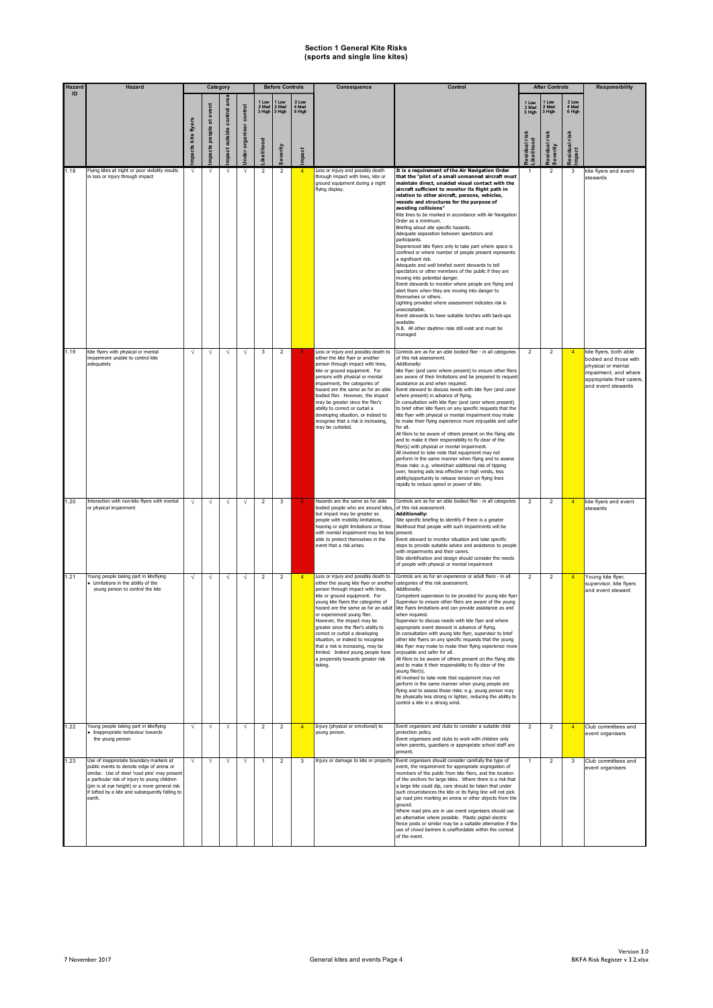| Hazard | Hazard                                                                                                                                                                                                                                                                                              |                    | Category         |                       |                |                 | <b>Before Controls</b>   |                          | Consequence                                                                                                                                                                                                                                                                                                                                                                                                                                                                                                                               | Control                                                                                                                                                                                                                                                                                                                                                                                                                                                                                                                                                                                                                                                                                                                                                                                                                                                                                                                                                                                                                                                                                                                                                                          |                         | <b>After Controls</b>    |                           | <b>Responsibility</b>                                                                                                                             |
|--------|-----------------------------------------------------------------------------------------------------------------------------------------------------------------------------------------------------------------------------------------------------------------------------------------------------|--------------------|------------------|-----------------------|----------------|-----------------|--------------------------|--------------------------|-------------------------------------------------------------------------------------------------------------------------------------------------------------------------------------------------------------------------------------------------------------------------------------------------------------------------------------------------------------------------------------------------------------------------------------------------------------------------------------------------------------------------------------------|----------------------------------------------------------------------------------------------------------------------------------------------------------------------------------------------------------------------------------------------------------------------------------------------------------------------------------------------------------------------------------------------------------------------------------------------------------------------------------------------------------------------------------------------------------------------------------------------------------------------------------------------------------------------------------------------------------------------------------------------------------------------------------------------------------------------------------------------------------------------------------------------------------------------------------------------------------------------------------------------------------------------------------------------------------------------------------------------------------------------------------------------------------------------------------|-------------------------|--------------------------|---------------------------|---------------------------------------------------------------------------------------------------------------------------------------------------|
| ID     |                                                                                                                                                                                                                                                                                                     |                    | atevent          | ā                     | control        | 2 Med<br>3 High | 1 Low<br>2 Med<br>3 High | 2 Low<br>4 Med<br>6 High |                                                                                                                                                                                                                                                                                                                                                                                                                                                                                                                                           |                                                                                                                                                                                                                                                                                                                                                                                                                                                                                                                                                                                                                                                                                                                                                                                                                                                                                                                                                                                                                                                                                                                                                                                  | 2 Med<br>3 High         | 1 Low<br>2 Med<br>3 High | 2 Low<br>4 Med<br>6 High  |                                                                                                                                                   |
|        |                                                                                                                                                                                                                                                                                                     | mpacts kite flyers | people<br>mpacts | mpact outside control | nder organiser | kelihood        | everity                  | mpact                    |                                                                                                                                                                                                                                                                                                                                                                                                                                                                                                                                           |                                                                                                                                                                                                                                                                                                                                                                                                                                                                                                                                                                                                                                                                                                                                                                                                                                                                                                                                                                                                                                                                                                                                                                                  | sidual ris<br>ikelihood | esidual risk<br>everity  | risk<br>Residual<br>mpact |                                                                                                                                                   |
| 1.18   | Flying kites at night or poor visibility results<br>in loss or injury through impact                                                                                                                                                                                                                |                    | V                | V                     | $\sqrt{ }$     | $\overline{2}$  | $\overline{2}$           | $\overline{4}$           | Loss or injury and possibly death<br>through impact with lines, kite or<br>ground equipment during a night<br>flying display.                                                                                                                                                                                                                                                                                                                                                                                                             | It is a requirement of the Air Navigation Order<br>that the "pilot of a small unmanned aircraft must<br>maintain direct, unaided visual contact with the<br>aircraft sufficient to monitor its flight path in<br>relation to other aircraft, persons, vehicles,<br>vessels and structures for the purpose of<br>avoiding collisions"<br>Kite lines to be marked in accordance with Air Navigation<br>Order as a minimum.<br>Briefing about site specific hazards.<br>Adequate separation between spectators and<br>participants.<br>Experienced kite flyers only to take part where space is<br>confined or where number of people present represents<br>a significant risk.<br>Adequate and well briefed event stewards to tell<br>spectators or other members of the public if they are<br>moving into potential danger.<br>Event stewards to monitor where people are flying and<br>alert them when they are moving into danger to<br>themselves or others.<br>Lighting provided where assessment indicates risk is<br>unacceptable.<br>Event stewards to have suitable torches with back-ups<br>available<br>N.B. All other daytime risks still exist and must be<br>managed |                         | $\overline{2}$           | 3                         | kite flyers and event<br>stewards                                                                                                                 |
| 1.19   | Kite flyers with physical or mental<br>impairment unable to control kite<br>adequately                                                                                                                                                                                                              | V                  | V                | $\sqrt{ }$            | N              | 3               | $\overline{2}$           |                          | Loss or injury and possibly death to<br>either the kite flyer or another<br>person through impact with lines,<br>kite or ground equipment. For<br>persons with physical or mental<br>impairment, the categories of<br>hazard are the same as for an able<br>bodied flier. However, the impact<br>may be greater since the flier's<br>ability to correct or curtail a<br>developing situation, or indeed to<br>recognise that a risk is increasing,<br>may be curtailed.                                                                   | Controls are as for an able bodied flier - in all categories<br>of this risk assessment.<br>Additionally:<br>kite flyer (and carer where present) to ensure other fliers<br>are aware of their limitations and be prepared to request<br>assistance as and when required.<br>Event steward to discuss needs with kite flyer (and carer<br>where present) in advance of flying.<br>In consultation with kite flyer (and carer where present)<br>to brief other kite flyers on any specific requests that the<br>kite flyer with physical or mental impairment may make<br>to make their flying experience more enjoyable and safer<br>for all.<br>All fliers to be aware of others present on the flying site<br>and to make it their responsibility to fly clear of the<br>flier(s) with physical or mental impairment.<br>All involved to take note that equipment may not<br>perform in the same manner when flying and to assess<br>those risks: e.g. wheelchair additional risk of tipping<br>over, hearing aids less effective in high winds, less<br>ability/opportunity to release tension on flying lines<br>rapidly to reduce speed or power of kite.                   | $\overline{2}$          | $\overline{2}$           |                           | kite flyers, both able<br>bodied and those with<br>physical or mental<br>impairment, and where<br>appropriate their carers,<br>and event stewards |
| 1.20   | Interaction with non-kite flyers with mental<br>or physical impairment                                                                                                                                                                                                                              | $\sqrt{ }$         | V                | $\sqrt{ }$            | $\sqrt{ }$     | $\overline{c}$  | 3                        |                          | Hazards are the same as for able<br>bodied people who are around kites,<br>but impact may be greater as<br>people with mobility limitations,<br>hearing or sight limitations or those<br>with mental impairment may be less<br>able to protect themselves in the<br>event that a risk arises.                                                                                                                                                                                                                                             | Controls are as for an able bodied flier - in all categories<br>of this risk assessment.<br><b>Additionally:</b><br>Site specific briefing to identify if there is a greater<br>likelihood that people with such impairments will be<br>present.<br>Event steward to monitor situation and take specific<br>steps to provide suitable advice and assistance to people<br>with impairments and their carers.<br>Site identification and design should consider the needs<br>of people with physical or mental impairment                                                                                                                                                                                                                                                                                                                                                                                                                                                                                                                                                                                                                                                          | $\overline{2}$          | $\overline{2}$           | $\overline{4}$            | kite flyers and event<br>stewards                                                                                                                 |
| 1.21   | Young people taking part in kiteflying<br>Umitations in the ability of the<br>young person to control the kite                                                                                                                                                                                      | V                  | V                | $\sqrt{ }$            | N              | $\overline{c}$  | $\overline{2}$           |                          | Loss or injury and possibly death to<br>either the young kite flyer or another<br>person through impact with lines,<br>kite or ground equipment. For<br>young kite flyers the categories of<br>hazard are the same as for an adult<br>or experienced young flier.<br>However, the impact may be<br>greater since the flier's ability to<br>correct or curtail a developing<br>situation, or indeed to recognise<br>that a risk is increasing, may be<br>limited. Indeed young people have<br>a propensity towards greater risk<br>taking. | Controls are as for an experience or adult fliers - in all<br>categories of this risk assessment.<br>Additionally:<br>Competent supervision to be provided for young kite flyer<br>Supervisor to ensure other fliers are aware of the young<br>kite flyers limitations and can provide assistance as and<br>when required.<br>Supervisor to discuss needs with kite flyer and where<br>appropriate event steward in advance of flying.<br>In consultation with young kite flyer, supervisor to brief<br>other kite flyers on any specific requests that the young<br>kite flyer may make to make their flying experience more<br>enjoyable and safer for all.<br>All fliers to be aware of others present on the flying site<br>and to make it their responsibility to fly clear of the<br>young flier(s).<br>All involved to take note that equipment may not<br>perform in the same manner when young people are<br>.<br>flying and to assess those risks: e.g. young person may<br>be physically less strong or lighter, reducing the ability to<br>control a kite in a strong wind.                                                                                          | $\overline{2}$          | $\overline{2}$           | $\overline{4}$            | Young kite flyer,<br>supervisor, kite flyers<br>and event steward                                                                                 |
| 1.22   | Young people taking part in kiteflying<br>Inappropriate behaviour towards<br>the young person                                                                                                                                                                                                       | √                  | V                | $\sqrt{ }$            | $\sqrt{ }$     | $\overline{2}$  | $\overline{2}$           | $\overline{4}$           | Injury (physical or emotional) to<br>young person.                                                                                                                                                                                                                                                                                                                                                                                                                                                                                        | Event organisers and clubs to consider a suitable child<br>protection policy.<br>Event organisers and clubs to work with children only<br>when parents, guardians or appropriate school staff are<br>present.                                                                                                                                                                                                                                                                                                                                                                                                                                                                                                                                                                                                                                                                                                                                                                                                                                                                                                                                                                    | $\overline{2}$          | $\overline{2}$           | $\overline{4}$            | Club committees and<br>event organisers                                                                                                           |
| 1.23   | Use of inapproriate boundary markers at<br>public events to denote edge of arena or<br>similar. Use of steel 'road pins' may present<br>a particular risk of injury to young children<br>(pin is at eye height) or a more general risk<br>if lofted by a kite and subsequently falling to<br>earth. | V                  | $\sqrt{ }$       | $\sqrt{ }$            | V              | $\mathbf{1}$    | $\overline{c}$           | 3                        | Injury or damage to kite or property                                                                                                                                                                                                                                                                                                                                                                                                                                                                                                      | Event organisers should consider carefully the type of<br>event, the requirement for appropriate segregation of<br>members of the public from kite fliers, and the location<br>of the anchors for large kites. Where there is a risk that<br>a large kite could dip, care should be taken that under<br>such circumstances the kite or its flying line will not pick<br>up road pins marking an arena or other objects from the<br>ground.<br>Where road pins are in use event organisers should use<br>an alternative where possible. Plastic pigtail electric<br>fence posts or similar may be a suitable alternative if the<br>use of crowd barriers is unaffordable within the context<br>of the event.                                                                                                                                                                                                                                                                                                                                                                                                                                                                      | $\mathbf{1}$            | $\overline{2}$           | 3                         | Club committees and<br>event organisers                                                                                                           |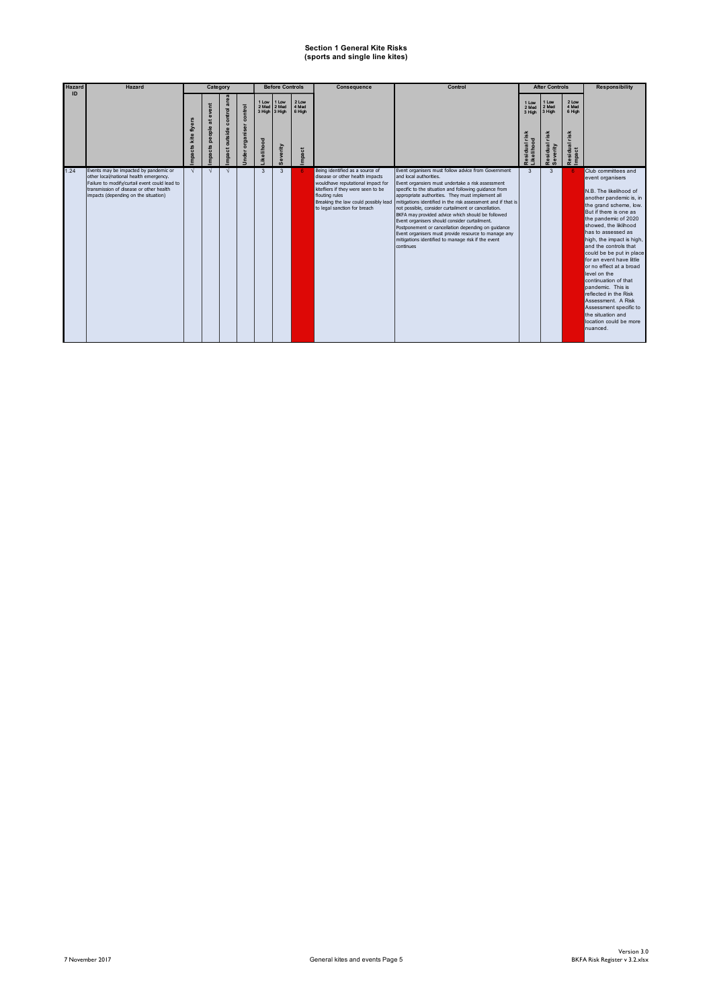| <b>Hazard</b> | Hazard                                                                                                                                                                                                              |                                  | Category                           |                                       |                              |                                             | <b>Before Controls</b>                      |                                   | Consequence                                                                                                                                                                                                                             | Control                                                                                                                                                                                                                                                                                                                                                                                                                                                                                                                                                                                                                                                        |                                                      | <b>After Controls</b>                                             |                                                       | <b>Responsibility</b>                                                                                                                                                                                                                                                                                                                                                                                                                                                                                                                                             |
|---------------|---------------------------------------------------------------------------------------------------------------------------------------------------------------------------------------------------------------------|----------------------------------|------------------------------------|---------------------------------------|------------------------------|---------------------------------------------|---------------------------------------------|-----------------------------------|-----------------------------------------------------------------------------------------------------------------------------------------------------------------------------------------------------------------------------------------|----------------------------------------------------------------------------------------------------------------------------------------------------------------------------------------------------------------------------------------------------------------------------------------------------------------------------------------------------------------------------------------------------------------------------------------------------------------------------------------------------------------------------------------------------------------------------------------------------------------------------------------------------------------|------------------------------------------------------|-------------------------------------------------------------------|-------------------------------------------------------|-------------------------------------------------------------------------------------------------------------------------------------------------------------------------------------------------------------------------------------------------------------------------------------------------------------------------------------------------------------------------------------------------------------------------------------------------------------------------------------------------------------------------------------------------------------------|
| ID            |                                                                                                                                                                                                                     | flyer:<br>kite<br>S.<br>ō<br>npa | event<br>ä<br>people<br>cts<br>mpa | area<br>control<br>outside<br>ã<br>na | control<br>organiser<br>nder | 1 Low<br>2 Med<br>3 High 3 High<br>kelihood | 1 Low<br>2 Med<br>everity<br>$\overline{a}$ | 2 Low<br>4 Med<br>6 High<br>npact |                                                                                                                                                                                                                                         |                                                                                                                                                                                                                                                                                                                                                                                                                                                                                                                                                                                                                                                                | 1 Low<br>2 Med<br>3 High<br>risk<br>sidual<br>elihoo | 1 Low<br>2 Med<br>3 High<br>risk<br>esidual<br>verity<br>$\omega$ | 2 Low<br>4 Med<br>6 High<br>risk<br>Residual<br>mpact |                                                                                                                                                                                                                                                                                                                                                                                                                                                                                                                                                                   |
| 1.24          | Events may be impacted by pandemic or<br>other local/national health emergency.<br>Failure to modify/curtail event could lead to<br>transmission of disease or other health<br>impacts (depending on the situation) | $\sqrt{ }$                       | $\sqrt{ }$                         | N                                     |                              | 3                                           | 3                                           |                                   | Being identified as a source of<br>disease or other health impacts<br>wouldhave reputational impact for<br>kitefliers if they were seen to be<br>flouting rules<br>Breaking the law could possibly lead<br>to legal sanction for breach | Event organisers must follow advice from Government<br>and local authorities.<br>Event organsiers must undertake a risk assessment<br>specific to the situation and following quidance from<br>appropriate authorities. They must implement all<br>Imitigations identified in the risk assessment and if that is<br>not possible, consider curtailment or cancellation.<br>BKFA may provided advice which should be followed<br>Event organisers should consider curtailment.<br>Postponement or cancellation depending on quidance<br>Event organisers must provide resource to manage any<br>mitigations identified to manage risk if the event<br>continues | 3                                                    | 3                                                                 | -6                                                    | Club committees and<br>event organisers<br>N.B. The likelihood of<br>another pandemic is, in<br>the grand scheme, low.<br>But if there is one as<br>the pandemic of 2020<br>showed, the liklihood<br>has to assessed as<br>high, the impact is high,<br>and the controls that<br>could be be put in place<br>for an event have little<br>or no effect at a broad<br>level on the<br>continuation of that<br>pandemic. This is<br>reflected in the Risk<br>Assessment. A Risk<br>Assessment specific to<br>the situation and<br>location could be more<br>nuanced. |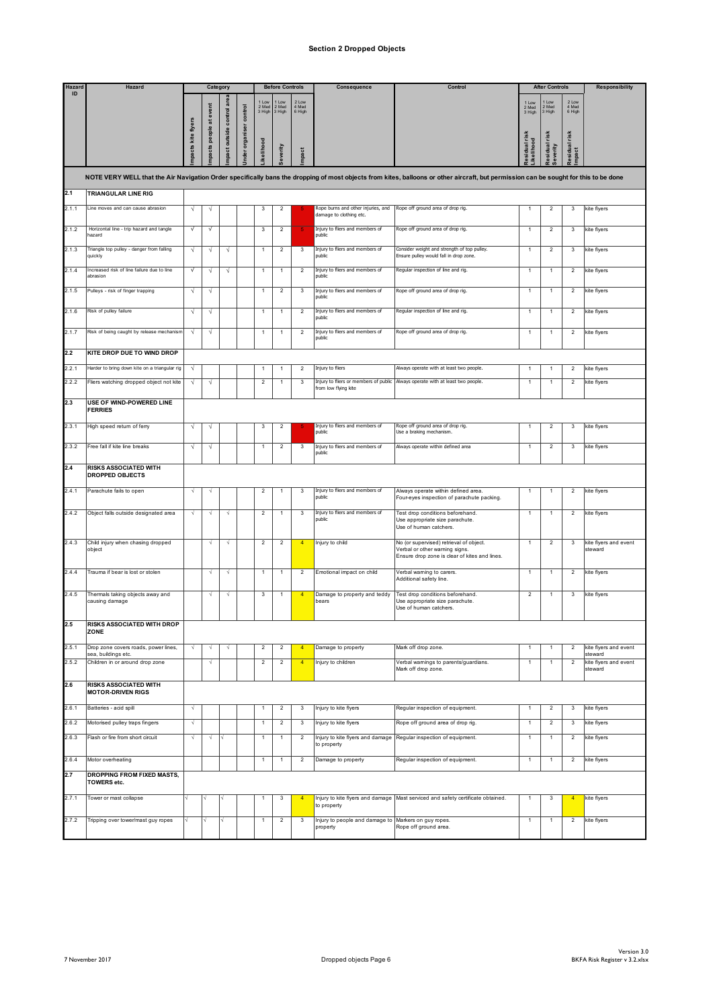#### **Section 2 Dropped Objects**

| Hazard | Hazard                                                   |                   | Category        |                           |                   |                         | <b>Before Controls</b>  |                          | Consequence                                                   | Control                                                                                                                                                                              |                          | <b>After Controls</b>       |                           | <b>Responsibility</b>                       |
|--------|----------------------------------------------------------|-------------------|-----------------|---------------------------|-------------------|-------------------------|-------------------------|--------------------------|---------------------------------------------------------------|--------------------------------------------------------------------------------------------------------------------------------------------------------------------------------------|--------------------------|-----------------------------|---------------------------|---------------------------------------------|
| ID     |                                                          |                   | at event        |                           | organiser control | Low<br>2 Med<br>3 High  | Low<br>2 Med<br>3 High  | 2 Low<br>4 Med<br>6 High |                                                               |                                                                                                                                                                                      | 1 Low<br>2 Med<br>3 High | 1 Low<br>2 Med<br>3 High    | 2 Low<br>4 Med<br>6 High  |                                             |
|        |                                                          | pacts kite flyers | people<br>pacts | ipact outside control are | <b>Iagr</b>       | kelihood                | everity                 | mpact                    |                                                               |                                                                                                                                                                                      | sidual risk<br>kelihood  | risk<br>lesidual<br>everity | risk<br>lesidual<br>mpact |                                             |
|        |                                                          |                   |                 |                           |                   |                         |                         |                          |                                                               | NOTE VERY WELL that the Air Navigation Order specifically bans the dropping of most objects from kites, balloons or other aircraft, but permission can be sought for this to be done |                          |                             |                           |                                             |
| 2.1    | <b>TRIANGULAR LINE RIG</b>                               |                   |                 |                           |                   |                         |                         |                          |                                                               |                                                                                                                                                                                      |                          |                             |                           |                                             |
| 2.1.1  | Line moves and can cause abrasion                        | $\sqrt{ }$        | N               |                           |                   | $\mathsf 3$             | $\boldsymbol{2}$        |                          | Rope burns and other injuries, and<br>damage to clothing etc. | Rope off ground area of drop rig.                                                                                                                                                    | $\mathbf{1}$             | $\overline{c}$              | 3                         | kite flyers                                 |
| 2.1.2  | Horizontal line - trip hazard and tangle<br>hazard       | $\sqrt{ }$        | $\sqrt{ }$      |                           |                   | 3                       | $\overline{2}$          |                          | Injury to fliers and members of<br>public                     | Rope off ground area of drop rig.                                                                                                                                                    | $\mathbf{1}$             | $\overline{2}$              | 3                         | kite flyers                                 |
| 2.1.3  | Triangle top pulley - danger from falling<br>quickly     | N                 | N               | N                         |                   | -1                      | $\overline{2}$          | 3                        | Injury to fliers and members of<br>public                     | Consider weight and strength of top pulley.<br>Ensure pulley would fall in drop zone.                                                                                                |                          | $\overline{2}$              | 3                         | kite flyers                                 |
| 2.1.4  | Increased risk of line failure due to line<br>abrasion   | $\sqrt{ }$        | N               |                           |                   | 1                       | 1                       | $\overline{2}$           | Injury to fliers and members of<br>public                     | Regular inspection of line and rig.                                                                                                                                                  | $\mathbf{1}$             | $\overline{1}$              | 2                         | kite flyers                                 |
| 2.1.5  | Pulleys - risk of finger trapping                        | $\sqrt{ }$        | $\sqrt{}$       |                           |                   | $\mathbf{1}$            | $\overline{2}$          | $\mathbf 3$              | Injury to fliers and members of<br>public                     | Rope off ground area of drop rig.                                                                                                                                                    | $\mathbf{1}$             | $\mathbf{1}$                | $\overline{c}$            | kite flyers                                 |
| 2.1.6  | Risk of pulley failure                                   | V                 | N               |                           |                   | 1                       | $\mathbf{1}$            | $\overline{2}$           | Injury to fliers and members of<br>public                     | Regular inspection of line and rig.                                                                                                                                                  | $\mathbf{1}$             | 1                           | 2                         | kite flyers                                 |
| 2.1.7  | Risk of being caught by release mechanism                | $\sqrt{ }$        | $\sqrt{ }$      |                           |                   | 1                       | 1                       | $\overline{c}$           | Injury to fliers and members of<br>public                     | Rope off ground area of drop rig.                                                                                                                                                    | $\mathbf{1}$             | $\mathbf{1}$                | $\overline{c}$            | kite flyers                                 |
| 2.2    | <b>KITE DROP DUE TO WIND DROP</b>                        |                   |                 |                           |                   |                         |                         |                          |                                                               |                                                                                                                                                                                      |                          |                             |                           |                                             |
| 2.2.1  | Harder to bring down kite on a triangular rig            | V                 |                 |                           |                   | -1                      | 1                       | $\overline{2}$           | Injury to fliers                                              | Always operate with at least two people.                                                                                                                                             | $\mathbf{1}$             | $\overline{1}$              | $\overline{2}$            | kite flyers                                 |
| 2.2.2  | Fliers watching dropped object not kite                  | $\sqrt{ }$        | V               |                           |                   | $\overline{2}$          | 1                       | 3                        | from low flying kite                                          | Injury to fliers or members of public Always operate with at least two people.                                                                                                       | $\mathbf{1}$             | $\mathbf{1}$                | $\boldsymbol{2}$          | kite flyers                                 |
| 2.3    | USE OF WIND-POWERED LINE<br><b>FERRIES</b>               |                   |                 |                           |                   |                         |                         |                          |                                                               |                                                                                                                                                                                      |                          |                             |                           |                                             |
| 2.3.1  | High speed return of ferry                               | N                 | ν               |                           |                   | 3                       | 2                       |                          | Injury to fliers and members of<br>public                     | Rope off ground area of drop rig.<br>Use a braking mechanism.                                                                                                                        |                          | 2                           | 3                         | kite flyers                                 |
| 2.3.2  | Free fall if kite line breaks                            | $\sqrt{ }$        | $\sqrt{ }$      |                           |                   | 1                       | $\overline{2}$          | $\mathbf{3}$             | Injury to fliers and members of<br>public                     | Always operate within defined area                                                                                                                                                   | $\mathbf{1}$             | $\overline{2}$              | 3                         | kite flyers                                 |
| 2.4    | <b>RISKS ASSOCIATED WITH</b><br><b>DROPPED OBJECTS</b>   |                   |                 |                           |                   |                         |                         |                          |                                                               |                                                                                                                                                                                      |                          |                             |                           |                                             |
| 2.4.1  | Parachute fails to open                                  | V                 | √               |                           |                   | 2                       | $\mathbf{1}$            | 3                        | Injury to fliers and members of<br>public                     | Always operate within defined area.<br>Four-eyes inspection of parachute packing.                                                                                                    | $\mathbf{1}$             | $\mathbf{1}$                | $\overline{c}$            | kite flyers                                 |
| 2.4.2  | Object falls outside designated area                     | $\sqrt{ }$        | $\sqrt{}$       | $\sqrt{}$                 |                   | $\overline{2}$          | 1                       | 3                        | Injury to fliers and members of                               | Test drop conditions beforehand.                                                                                                                                                     | $\mathbf{1}$             | $\mathbf{1}$                | $\overline{2}$            | kite flyers                                 |
|        |                                                          |                   |                 |                           |                   |                         |                         |                          | public                                                        | Use appropriate size parachute.<br>Use of human catchers.                                                                                                                            |                          |                             |                           |                                             |
| 2.4.3  | Child injury when chasing dropped<br>object              |                   | N               | V                         |                   | $\overline{c}$          | $\overline{c}$          | $\overline{4}$           | Injury to child                                               | No (or supervised) retrieval of object.<br>Verbal or other warning signs.<br>Ensure drop zone is clear of kites and lines.                                                           | $\overline{1}$           | $\overline{2}$              | $\mathbf{3}$              | kite flyers and event<br>steward            |
| 2.4.4  | Trauma if bear is lost or stolen                         |                   | $\sqrt{ }$      | N                         |                   | $\mathbf{1}$            | $\mathbf{1}$            | $\overline{2}$           | Emotional impact on child                                     | Verbal warning to carers.<br>Additional safety line.                                                                                                                                 | $\mathbf{1}$             | $\mathbf{1}$                | $\overline{c}$            | kite flyers                                 |
| 2.4.5  | Thermals taking objects away and<br>causing damage       |                   | V               | √                         |                   | 3                       | 1                       | $\overline{4}$           | Damage to property and teddy<br>bears                         | Test drop conditions beforehand.<br>Use appropriate size parachute.<br>Use of human catchers.                                                                                        | $\overline{\mathbf{c}}$  | $\mathbf{1}$                | 3                         | kite flyers                                 |
| 2.5    | <b>RISKS ASSOCIATED WITH DROP</b><br><b>ZONE</b>         |                   |                 |                           |                   |                         |                         |                          |                                                               |                                                                                                                                                                                      |                          |                             |                           |                                             |
| 2.5.1  | Drop zone covers roads, power lines,                     |                   |                 |                           |                   | $\overline{\mathbf{c}}$ | $\boldsymbol{2}$        | $\overline{4}$           | Damage to property                                            | Mark off drop zone.                                                                                                                                                                  | $\mathbf{1}$             | $\mathbf{1}$                | $\boldsymbol{2}$          | kite flyers and event                       |
| 2.5.2  | sea, buildings etc.<br>Children in or around drop zone   |                   | √               |                           |                   | $\overline{2}$          | $\overline{2}$          | $\overline{4}$           | Injury to children                                            | Verbal warnings to parents/guardians.<br>Mark off drop zone.                                                                                                                         | $\mathbf{1}$             | $\mathbf{1}$                | $\overline{c}$            | steward<br>kite flyers and event<br>steward |
| 2.6    | <b>RISKS ASSOCIATED WITH</b><br><b>MOTOR-DRIVEN RIGS</b> |                   |                 |                           |                   |                         |                         |                          |                                                               |                                                                                                                                                                                      |                          |                             |                           |                                             |
| 2.6.1  | Batteries - acid spill                                   | N                 |                 |                           |                   |                         | 2                       | 3                        | Injury to kite flyers                                         | Regular inspection of equipment.                                                                                                                                                     | $\mathbf{1}$             | $\overline{c}$              | 3                         | kite flyers                                 |
| 2.6.2  | Motorised pulley traps fingers                           | N                 |                 |                           |                   | $\overline{1}$          | $\overline{2}$          | $\mathbf{3}$             | Injury to kite flyers                                         | Rope off ground area of drop rig.                                                                                                                                                    | $\mathbf{1}$             | $\overline{c}$              | 3                         | kite flyers                                 |
| 2.6.3  | Flash or fire from short circuit                         | ٦                 | √               | V                         |                   | 1                       | 1                       | $\overline{2}$           | Injury to kite flyers and damage<br>to property               | Regular inspection of equipment.                                                                                                                                                     |                          | $\mathbf{1}$                | $\overline{c}$            | kite flyers                                 |
| 2.6.4  | Motor overheating                                        |                   |                 |                           |                   | 1                       | 1                       | $\overline{2}$           | Damage to property                                            | Regular inspection of equipment.                                                                                                                                                     |                          | $\mathbf{1}$                | $\overline{c}$            | kite flyers                                 |
| 2.7    | <b>DROPPING FROM FIXED MASTS,</b><br><b>TOWERS etc.</b>  |                   |                 |                           |                   |                         |                         |                          |                                                               |                                                                                                                                                                                      |                          |                             |                           |                                             |
| 2.7.1  | Tower or mast collapse                                   |                   |                 |                           |                   |                         | 3                       |                          | Injury to kite flyers and damage<br>to property               | Mast serviced and safety certificate obtained.                                                                                                                                       |                          | 3                           | $\overline{4}$            | kite flyers                                 |
| 2.7.2  | Tripping over tower/mast guy ropes                       |                   |                 |                           |                   | 1                       | $\overline{\mathbf{c}}$ | $\mathbf 3$              | Injury to people and damage to                                | Markers on guy ropes.<br>Rope off ground area.                                                                                                                                       |                          | 1                           | $\overline{\mathbf{c}}$   | kite flyers                                 |
|        |                                                          |                   |                 |                           |                   |                         |                         |                          | property                                                      |                                                                                                                                                                                      |                          |                             |                           |                                             |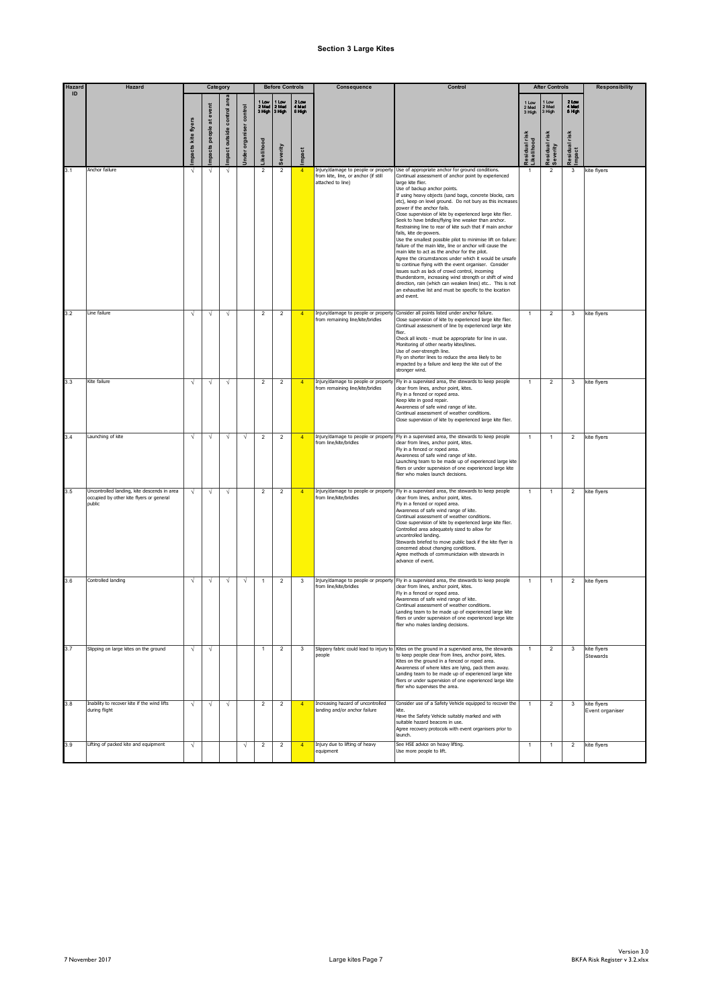#### **Section 3 Large Kites**

| Hazard<br>ID | Hazard                                                                                            |                    | Category         |                           |                |                  | <b>Before Controls</b> |                          | Consequence                                                                                      | Control                                                                                                                                                                                                                                                                                                                                                                                                                                                                                                                                                                                                                                                                                                                                                                                                                                                                                                                                                                                                                                                                           |                           | <b>After Controls</b>   |                            | <b>Responsibility</b>          |
|--------------|---------------------------------------------------------------------------------------------------|--------------------|------------------|---------------------------|----------------|------------------|------------------------|--------------------------|--------------------------------------------------------------------------------------------------|-----------------------------------------------------------------------------------------------------------------------------------------------------------------------------------------------------------------------------------------------------------------------------------------------------------------------------------------------------------------------------------------------------------------------------------------------------------------------------------------------------------------------------------------------------------------------------------------------------------------------------------------------------------------------------------------------------------------------------------------------------------------------------------------------------------------------------------------------------------------------------------------------------------------------------------------------------------------------------------------------------------------------------------------------------------------------------------|---------------------------|-------------------------|----------------------------|--------------------------------|
|              |                                                                                                   |                    | at event         |                           | control        | 2 Med<br>3 High  | 2 Med<br>3 High        | 2 Low<br>4 Med<br>6 High |                                                                                                  |                                                                                                                                                                                                                                                                                                                                                                                                                                                                                                                                                                                                                                                                                                                                                                                                                                                                                                                                                                                                                                                                                   | 1 Low<br>2 Med<br>3 High  | Low<br>2 Med<br>3 High  | $2$ Low<br>4 Med<br>6 High |                                |
|              |                                                                                                   | mpacts kite flyers | people<br>npacts | mpact outside control are | nder organiser | kelihood         | ieverity               | mpact                    |                                                                                                  |                                                                                                                                                                                                                                                                                                                                                                                                                                                                                                                                                                                                                                                                                                                                                                                                                                                                                                                                                                                                                                                                                   | asidual risk<br>ikelihood | esidual risk<br>everity | risk<br>Residual<br>Impact |                                |
| 3.1          | Anchor failure                                                                                    | Ń                  |                  |                           |                | $\overline{2}$   | $\overline{2}$         | $\overline{4}$           | Injury/damage to people or property<br>from kite, line, or anchor (if still<br>attached to line) | Use of appropriate anchor for ground conditions.<br>Continual assessment of anchor point by experienced<br>large kite flier.<br>Use of backup anchor points.<br>If using heavy objects (sand bags, concrete blocks, cars<br>etc), keep on level ground. Do not bury as this increases<br>power if the anchor fails.<br>Close supervision of kite by experienced large kite flier.<br>Seek to have bridles/flying line weaker than anchor.<br>Restraining line to rear of kite such that if main anchor<br>fails, kite de-powers.<br>Use the smallest possible pilot to minimise lift on failure:<br>failure of the main kite, line or anchor will cause the<br>main kite to act as the anchor for the pilot.<br>Agree the circumstances under which it would be unsafe<br>to continue flying with the event organiser. Consider<br>issues such as lack of crowd control, incoming<br>thunderstorm, increasing wind strength or shift of wind<br>direction, rain (which can weaken lines) etc This is not<br>an exhaustive list and must be specific to the location<br>and event. | $\mathbf{1}$              | $\overline{2}$          | 3                          | kite flyers                    |
| 3.2          | Line failure                                                                                      | N                  | V                | $\sqrt{ }$                |                | $\overline{2}$   | $\overline{a}$         | $\overline{4}$           | Injury/damage to people or property<br>from remaining line/kite/bridles                          | Consider all points listed under anchor failure.<br>Close supervision of kite by experienced large kite flier.<br>Continual assessment of line by experienced large kite<br>flier.<br>Check all knots - must be appropriate for line in use.<br>Monitoring of other nearby kites/lines.<br>Use of over-strength line.<br>Fly on shorter lines to reduce the area likely to be<br>impacted by a failure and keep the kite out of the<br>stronger wind.                                                                                                                                                                                                                                                                                                                                                                                                                                                                                                                                                                                                                             |                           | $\overline{2}$          | 3                          | kite flyers                    |
| 3.3          | Kite failure                                                                                      | N                  | N                | $\sqrt{ }$                |                | $\overline{2}$   | $\overline{2}$         | $\overline{4}$           | from remaining line/kite/bridles                                                                 | Injury/damage to people or property Fly in a supervised area, the stewards to keep people<br>clear from lines, anchor point, kites.<br>Fly in a fenced or roped area.<br>Keep kite in good repair.<br>Awareness of safe wind range of kite.<br>Continual assessment of weather conditions.<br>Close supervision of kite by experienced large kite flier.                                                                                                                                                                                                                                                                                                                                                                                                                                                                                                                                                                                                                                                                                                                          | $\mathbf{1}$              | $\overline{2}$          | 3                          | kite flyers                    |
| 3.4          | Launching of kite                                                                                 | $\sqrt{ }$         | $\sqrt{ }$       | $\sqrt{ }$                | $\sqrt{ }$     | $\overline{2}$   | $\overline{2}$         | $\overline{4}$           | from line/kite/bridles                                                                           | Injury/damage to people or property Fly in a supervised area, the stewards to keep people<br>clear from lines, anchor point, kites.<br>Fly in a fenced or roped area.<br>Awareness of safe wind range of kite.<br>Launching team to be made up of experienced large kite<br>fliers or under supervision of one experienced large kite<br>flier who makes launch decisions.                                                                                                                                                                                                                                                                                                                                                                                                                                                                                                                                                                                                                                                                                                        | $\mathbf{1}$              | $\overline{1}$          | $\overline{2}$             | kite flyers                    |
| 3.5          | Uncontrolled landing, kite descends in area<br>occupied by other kite flyers or general<br>public |                    | $\sqrt{ }$       | $\sqrt{ }$                |                | $\overline{2}$   | $\overline{2}$         | $\overline{4}$           | from line/kite/bridles                                                                           | Injury/damage to people or property Fly in a supervised area, the stewards to keep people<br>clear from lines, anchor point, kites.<br>Fly in a fenced or roped area.<br>Awareness of safe wind range of kite.<br>Continual assessment of weather conditions.<br>Close supervision of kite by experienced large kite flier.<br>Controlled area adequately sized to allow for<br>uncontrolled landing.<br>Stewards briefed to move public back if the kite flyer is<br>concerned about changing conditions.<br>Agree methods of communictaion with stewards in<br>advance of event.                                                                                                                                                                                                                                                                                                                                                                                                                                                                                                | $\mathbf{1}$              | $\mathbf{1}$            | $\overline{2}$             | kite flyers                    |
| 3.6          | Controlled landing                                                                                | V                  | V                | N                         | N              | $\mathbf{1}$     | $\overline{2}$         | $\mathbf{3}$             | from line/kite/bridles                                                                           | Injury/damage to people or property Fly in a supervised area, the stewards to keep people<br>clear from lines, anchor point, kites.<br>Fly in a fenced or roped area.<br>Awareness of safe wind range of kite.<br>Continual assessment of weather conditions.<br>Landing team to be made up of experienced large kite<br>fliers or under supervision of one experienced large kite<br>flier who makes landing decisions.                                                                                                                                                                                                                                                                                                                                                                                                                                                                                                                                                                                                                                                          | $\mathbf{1}$              | $\overline{1}$          | 2                          | kite flyers                    |
| 3.7          | Slipping on large kites on the ground                                                             | N                  | V                |                           |                | $\mathbf{1}$     | $\overline{2}$         | 3                        | people                                                                                           | Slippery fabric could lead to injury to Kites on the ground in a supervised area, the stewards<br>to keep people clear from lines, anchor point, kites.<br>Kites on the ground in a fenced or roped area.<br>Awareness of where kites are lying, pack them away.<br>Landing team to be made up of experienced large kite<br>fliers or under supervision of one experienced large kite<br>flier who supervises the area.                                                                                                                                                                                                                                                                                                                                                                                                                                                                                                                                                                                                                                                           | $\mathbf{1}$              | $\overline{2}$          | $\mathsf 3$                | kite flyers<br>Stewards        |
| 3.8          | Inability to recover kite if the wind lifts<br>during flight                                      | $\sqrt{ }$         | V                | $\sqrt{}$                 |                | $\overline{2}$   | $\overline{2}$         | $\overline{4}$           | Increasing hazard of uncontrolled<br>landing and/or anchor failure                               | Consider use of a Safety Vehicle equipped to recover the<br>kite<br>Have the Safety Vehicle suitably marked and with<br>suitable hazard beacons in use.<br>Agree recovery protocols with event organisers prior to<br>launch.                                                                                                                                                                                                                                                                                                                                                                                                                                                                                                                                                                                                                                                                                                                                                                                                                                                     | $\mathbf{1}$              | $\overline{2}$          | 3                          | kite fivers<br>Event organiser |
| 3.9          | Lifting of packed kite and equipment                                                              | $\sqrt{ }$         |                  |                           | $\sqrt{}$      | $\boldsymbol{2}$ | $\boldsymbol{2}$       | $\overline{4}$           | Injury due to lifting of heavy<br>equipment                                                      | See HSE advice on heavy lifting.<br>Use more people to lift.                                                                                                                                                                                                                                                                                                                                                                                                                                                                                                                                                                                                                                                                                                                                                                                                                                                                                                                                                                                                                      | $\mathbf{1}$              | $\mathbf{1}$            | 2                          | kite flyers                    |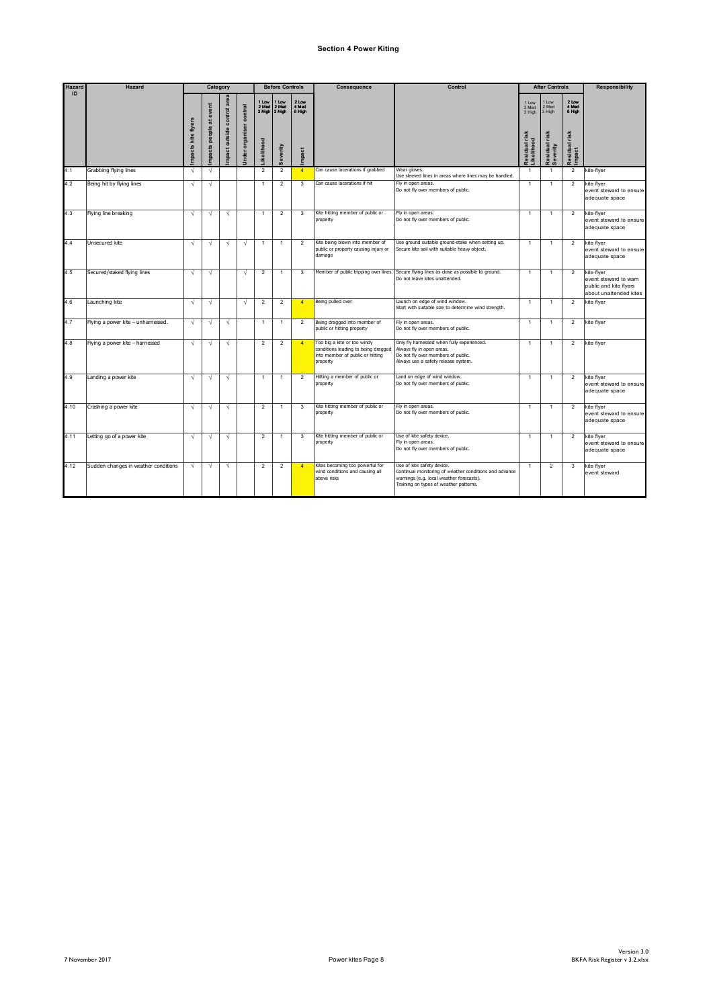### **Section 4 Power Kiting**

| <b>Hazard</b> | Hazard                               |                    |                                                 | Category                      |                   |                                    | <b>Before Controls</b>          |                          | Consequence                                                                                                        | Control                                                                                                                                                                    |                                                            | <b>After Controls</b>            |                                  | <b>Responsibility</b>                                                                   |
|---------------|--------------------------------------|--------------------|-------------------------------------------------|-------------------------------|-------------------|------------------------------------|---------------------------------|--------------------------|--------------------------------------------------------------------------------------------------------------------|----------------------------------------------------------------------------------------------------------------------------------------------------------------------------|------------------------------------------------------------|----------------------------------|----------------------------------|-----------------------------------------------------------------------------------------|
| ID            |                                      | mpacts kite flyers | event<br>$\overline{\textrm{a}}$<br>people<br>丛 | area<br>mpact outside control | organiser control | 1 Low<br>2 Med<br><b>ikelihood</b> | I Low<br>2 Med<br>3 High 3 High | 2 Low<br>4 Med<br>6 High |                                                                                                                    |                                                                                                                                                                            | 1 Low<br>2 Med<br>3 High<br>risk<br>Likelihood<br>tesidual | 1 Low<br>2 Med<br>3 High<br>risk | 2 Low<br>4 Med<br>6 High<br>risk |                                                                                         |
|               |                                      |                    | mpact                                           |                               | Jnder             |                                    | Severity                        | mpact                    |                                                                                                                    |                                                                                                                                                                            |                                                            | Residual<br>Severity             | Residual<br>Impact               |                                                                                         |
| 4.1           | Grabbing flying lines                | $\sqrt{2}$         | $\sqrt{ }$                                      |                               |                   | $\overline{2}$                     | $\overline{2}$                  | $\overline{4}$           | Can cause lacerations if grabbed                                                                                   | Wear gloves.<br>Use sleeved lines in areas where lines may be handled.                                                                                                     | $\overline{1}$                                             | $\overline{1}$                   | $\overline{2}$                   | kite flyer                                                                              |
| 4.2           | Being hit by flying lines            | $\sqrt{ }$         | $\sqrt{ }$                                      |                               |                   | $\overline{1}$                     | $\overline{2}$                  | 3                        | Can cause lacerations if hit                                                                                       | Fly in open areas.<br>Do not fly over members of public.                                                                                                                   | $\mathbf{1}$                                               | $\overline{1}$                   | 2                                | kite flyer<br>event steward to ensure<br>adequate space                                 |
| 4.3           | Flying line breaking                 | N                  | N                                               | $\sqrt{ }$                    |                   | 1                                  | $\overline{\mathbf{c}}$         | 3                        | Kite hitting member of public or<br>property                                                                       | Fly in open areas.<br>Do not fly over members of public.                                                                                                                   | -1                                                         | $\overline{1}$                   | $\overline{2}$                   | kite flyer<br>event steward to ensure<br>adequate space                                 |
| 4.4           | Unsecured kite                       | N                  | V                                               | $\sqrt{ }$                    | $\sqrt{ }$        | $\mathbf{1}$                       | $\mathbf{1}$                    | $\overline{2}$           | Kite being blown into member of<br>public or property causing injury or<br>damage                                  | Use ground suitable ground-stake when setting up.<br>Secure kite sail with suitable heavy object.                                                                          | $\mathbf{1}$                                               | $\overline{1}$                   | $\overline{2}$                   | kite flyer<br>event steward to ensure<br>adequate space                                 |
| 4.5           | Secured/staked flying lines          | N                  | $\sqrt{ }$                                      |                               | $\sqrt{ }$        | $\overline{2}$                     | $\mathbf{1}$                    | 3                        | Member of public tripping over lines                                                                               | Secure flying lines as close as possible to ground.<br>Do not leave kites unattended.                                                                                      | $\mathbf{1}$                                               | $\mathbf{1}$                     | $\overline{2}$                   | kite flyer<br>event steward to warn<br>public and kite flyers<br>about unattended kites |
| 4.6           | Launching kite                       | $\sqrt{2}$         | $\sqrt{ }$                                      |                               | N                 | $\overline{2}$                     | $\overline{2}$                  | $\overline{4}$           | Being pulled over                                                                                                  | Launch on edge of wind window.<br>Start with suitable size to determine wind strength.                                                                                     | $\mathbf{1}$                                               | $\overline{1}$                   | $\overline{2}$                   | kite flyer                                                                              |
| 4.7           | Flying a power kite - unharnessed.   | $\sqrt{ }$         | $\sqrt{ }$                                      | $\sqrt{ }$                    |                   | 1                                  | $\mathbf{1}$                    | $\overline{2}$           | Being dragged into member of<br>public or hitting property                                                         | Fly in open areas.<br>Do not fly over members of public.                                                                                                                   | $\mathbf{1}$                                               | $\overline{1}$                   | $\overline{2}$                   | kite flyer                                                                              |
| 4.8           | Flying a power kite - harnessed      | V                  | V                                               | $\sqrt{ }$                    |                   | $\overline{\mathbf{c}}$            | $\overline{\mathbf{c}}$         | $\overline{4}$           | Too big a kite or too windy<br>conditions leading to being dragged<br>into member of public or hitting<br>property | Only fly hamessed when fully experienced.<br>Always fly in open areas.<br>Do not fly over members of public.<br>Always use a safety release system.                        | $\mathbf{1}$                                               | $\overline{1}$                   | $\overline{2}$                   | kite flyer                                                                              |
| 4.9           | Landing a power kite                 | $\sqrt{ }$         | $\sqrt{ }$                                      | $\sqrt{ }$                    |                   | $\mathbf{1}$                       | $\mathbf{1}$                    | $\overline{2}$           | Hitting a member of public or<br>property                                                                          | Land on edge of wind window.<br>Do not fly over members of public.                                                                                                         | $\mathbf{1}$                                               | $\overline{1}$                   | $\overline{2}$                   | kite flyer<br>event steward to ensure<br>adequate space                                 |
| 4.10          | Crashing a power kite                | V                  | $\sqrt{ }$                                      | $\sqrt{ }$                    |                   | $\overline{2}$                     | $\mathbf{1}$                    | 3                        | Kite hitting member of public or<br>property                                                                       | Fly in open areas.<br>Do not fly over members of public.                                                                                                                   | $\overline{1}$                                             | $\overline{1}$                   | $\overline{2}$                   | kite flyer<br>event steward to ensure<br>adequate space                                 |
| 4.11          | Letting go of a power kite           | $\sqrt{ }$         | $\sqrt{ }$                                      | $\sqrt{ }$                    |                   | $\overline{2}$                     | $\mathbf{1}$                    | 3                        | Kite hitting member of public or<br>property                                                                       | Use of kite safety device.<br>Fly in open areas.<br>Do not fly over members of public.                                                                                     | $\mathbf{1}$                                               | $\overline{1}$                   | $\overline{2}$                   | kite flyer<br>event steward to ensure<br>adequate space                                 |
| 4.12          | Sudden changes in weather conditions | $\sqrt{ }$         | $\sqrt{ }$                                      | $\sqrt{ }$                    |                   | $\overline{2}$                     | $\overline{2}$                  | $\overline{4}$           | Kites becoming too powerful for<br>wind conditions and causing all<br>above risks                                  | Use of kite safety device.<br>Continual monitoring of weather conditions and advance<br>warnings (e.g. local weather forecasts).<br>Training on types of weather patterns. | $\mathbf{1}$                                               | $\overline{2}$                   | 3                                | kite flyer<br>event steward                                                             |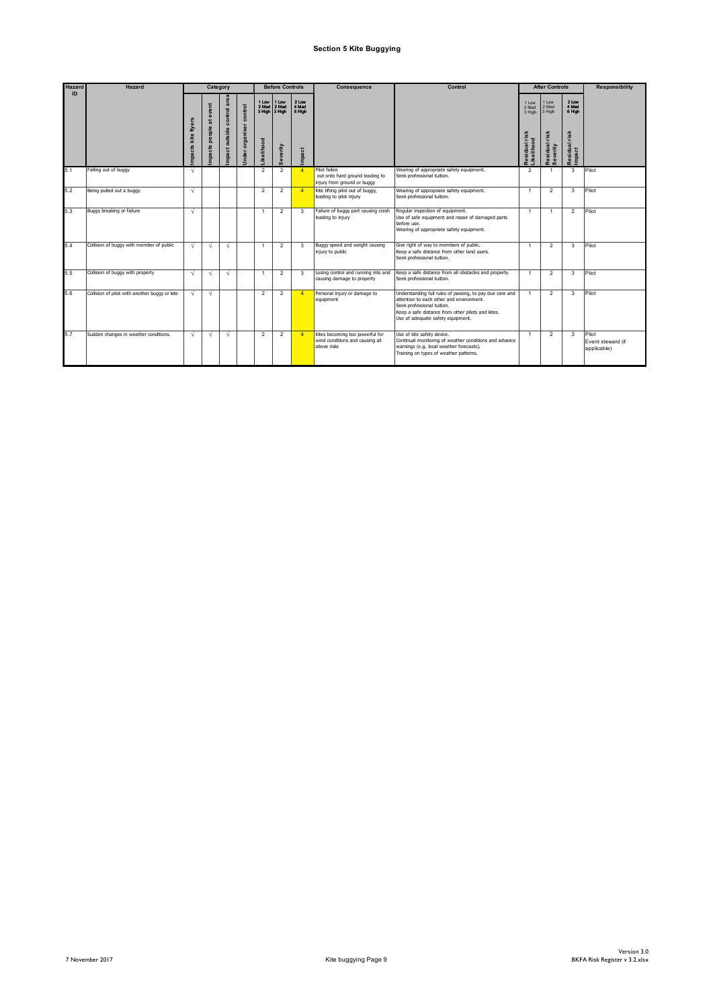## **Section 5 Kite Buggying**

| <b>Hazard</b> | <b>Hazard</b>                                 |                       | Category                                                 |                               |                                      |                                               | <b>Before Controls</b>     |                                   | Consequence                                                                       | Control                                                                                                                                                                                                                      |                                                                  | <b>After Controls</b>                                  |                                                        | <b>Responsibility</b>                     |
|---------------|-----------------------------------------------|-----------------------|----------------------------------------------------------|-------------------------------|--------------------------------------|-----------------------------------------------|----------------------------|-----------------------------------|-----------------------------------------------------------------------------------|------------------------------------------------------------------------------------------------------------------------------------------------------------------------------------------------------------------------------|------------------------------------------------------------------|--------------------------------------------------------|--------------------------------------------------------|-------------------------------------------|
| ID            |                                               | kite flyers<br>mpacts | event<br>$\overline{\overline{a}}$<br>people<br>ᢑ<br>mpa | control area<br>mpact outside | control<br>organiser<br><b>Jnder</b> | 1 Low<br>2 Med<br>3 High 3 High<br>.ikelihood | 1 Low<br>2 Med<br>Severity | 2 Low<br>4 Med<br>6 High<br>mpact |                                                                                   |                                                                                                                                                                                                                              | 1 Low<br>2 Med<br>3 High<br>risk<br><b>Likelihoo</b><br>Residual | Low<br>2 Med<br>3 High<br>risk<br>Residual<br>Severity | 2 Low<br>4 Med<br>6 High<br>risk<br>Residual<br>Impact |                                           |
| 5.1           | Falling out of buggy                          | $\sqrt{ }$            |                                                          |                               |                                      | $\overline{2}$                                | $\overline{2}$             | $\overline{4}$                    | Pilot fallen<br>out onto hard ground leading to<br>injury from ground or buggy    | Wearing of appropriate safety equipment.<br>Seek professional tuition.                                                                                                                                                       | $\overline{2}$                                                   | $\overline{1}$                                         | 3                                                      | Pilot                                     |
| 5.2           | Being pulled out a buggy                      | $\sqrt{ }$            |                                                          |                               |                                      | $\overline{2}$                                | $\overline{2}$             | $\overline{4}$                    | Kite lifting pilot out of buggy,<br>leading to pilot injury                       | Wearing of appropriate safety equipment.<br>Seek professional tuition.                                                                                                                                                       | $\overline{1}$                                                   | $\overline{2}$                                         | 3                                                      | Pilot                                     |
| 5.3           | Buggy breaking or failure                     | $\sqrt{ }$            |                                                          |                               |                                      | -1                                            | $\overline{2}$             | 3                                 | Failure of buggy part causing crash<br>leading to injury                          | Reqular inspection of equipment.<br>Use of safe equipment and repair of damaged parts<br>before use.<br>Wearing of appropriate safety equipment.                                                                             | $\mathbf{1}$                                                     | $\mathbf{1}$                                           | $\overline{2}$                                         | Pilot                                     |
| 5.4           | Collision of buggy with member of public      | $\sqrt{ }$            | V                                                        | $\sqrt{ }$                    |                                      | -1                                            | $\overline{2}$             | 3                                 | Buggy speed and weight causing<br>injury to public                                | Give right of way to members of public.<br>Keep a safe distance from other land users.<br>Seek professional tuition.                                                                                                         | -1                                                               | $\overline{2}$                                         | 3                                                      | Pilot                                     |
| 5.5           | Collision of buggy with property              | $\sqrt{ }$            | $\sqrt{ }$                                               | $\sqrt{2}$                    |                                      | $\overline{1}$                                | $\overline{2}$             | $\mathbf{3}$                      | Losing control and running into and<br>causing damage to property                 | Keep a safe distance from all obstacles and property.<br>Seek professional tuition.                                                                                                                                          | $\mathbf{1}$                                                     | $\mathfrak{p}$                                         | 3                                                      | Pilot                                     |
| 5.6           | Collision of pilot with another buggy or kite | V                     | $\sqrt{ }$                                               |                               |                                      | $\overline{2}$                                | $\overline{2}$             | $\overline{A}$                    | Personal injury or damage to<br>equipment                                         | Understanding full rules of passing, to pay due care and<br>attention to each other and environment.<br>Seek professional tuition.<br>Keep a safe distance from other pilots and kites.<br>Use of adequate safety equipment. | $\overline{1}$                                                   | $\overline{2}$                                         | 3                                                      | Pilot                                     |
| 5.7           | Sudden changes in weather conditions.         | V                     | V                                                        | $\sqrt{ }$                    |                                      | $\overline{2}$                                | $\overline{2}$             | $\overline{4}$                    | Kites becoming too powerful for<br>wind conditions and causing all<br>above risks | Use of kite safety device.<br>Continual monitoring of weather conditions and advance<br>warnings (e.g. local weather forecasts).<br>Training on types of weather patterns.                                                   | $\mathbf{1}$                                                     | $\overline{2}$                                         | 3                                                      | Pilot<br>Event steward (if<br>applicable) |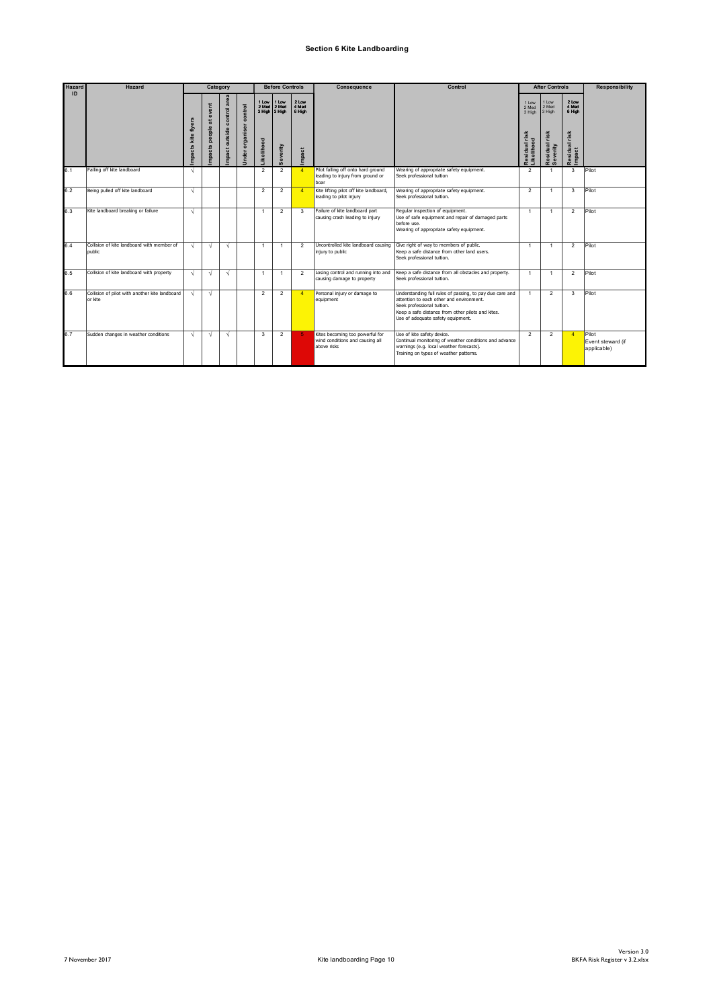### **Section 6 Kite Landboarding**

| <b>Hazard</b> | Hazard                                                     |                       | Category                         |                               |                              |                           | <b>Before Controls</b>                             |                                   | Consequence                                                                       | Control                                                                                                                                                                                                                      |                                                                                         | <b>After Controls</b>                                    |                                                        | <b>Responsibility</b>                     |
|---------------|------------------------------------------------------------|-----------------------|----------------------------------|-------------------------------|------------------------------|---------------------------|----------------------------------------------------|-----------------------------------|-----------------------------------------------------------------------------------|------------------------------------------------------------------------------------------------------------------------------------------------------------------------------------------------------------------------------|-----------------------------------------------------------------------------------------|----------------------------------------------------------|--------------------------------------------------------|-------------------------------------------|
| ID            |                                                            | kite flyers<br>mpacts | event<br>嵩<br>people<br>Ő<br>mpa | control area<br>mpact outside | control<br>organiser<br>Unde | 2 Med<br><b>ikelihood</b> | 1 Low 11 Low<br>2 Med<br>3 High 3 High<br>Severity | 2 Low<br>4 Med<br>6 High<br>mpact |                                                                                   |                                                                                                                                                                                                                              | 1 Low<br>2 Med<br>3 High<br>$\frac{1}{5}$<br>÷<br>sidual<br>ellihoo<br>≛<br>$\tilde{r}$ | 1 Low<br>2 Med<br>3 High<br>risk<br>Residual<br>Severity | 2 Low<br>4 Med<br>6 High<br>risk<br>Residual<br>Impact |                                           |
| 6.1           | Falling off kite landboard                                 | $\sqrt{ }$            |                                  |                               |                              | $\overline{2}$            | $\overline{2}$                                     | $\overline{4}$                    | Pilot falling off onto hard ground<br>leading to injury from ground or<br>boar    | Wearing of appropriate safety equipment.<br>Seek professional tuition                                                                                                                                                        | $\overline{2}$                                                                          | $\overline{1}$                                           | 3                                                      | Pilot                                     |
| 6.2           | Being pulled off kite landboard                            | $\sqrt{ }$            |                                  |                               |                              | $\overline{2}$            | $\overline{2}$                                     | $\boldsymbol{\Lambda}$            | Kite lifting pilot off kite landboard,<br>leading to pilot injury                 | Wearing of appropriate safety equipment.<br>Seek professional tuition.                                                                                                                                                       | $\overline{2}$                                                                          | $\overline{1}$                                           | 3                                                      | Pilot                                     |
| 6.3           | Kite landboard breaking or failure                         | $\sqrt{ }$            |                                  |                               |                              | -1                        | $\overline{2}$                                     | 3                                 | Failure of kite landboard part<br>causing crash leading to injury                 | Reqular inspection of equipment.<br>Use of safe equipment and repair of damaged parts<br>before use.<br>Wearing of appropriate safety equipment.                                                                             | $\mathbf{1}$                                                                            | $\overline{1}$                                           | $\overline{2}$                                         | Pilot                                     |
| 6.4           | Collision of kite landboard with member of<br>public       | V                     | $\sqrt{ }$                       | $\sqrt{ }$                    |                              | $\overline{1}$            | $\mathbf{1}$                                       | $\overline{2}$                    | Uncontrolled kite landboard causing<br>injury to public                           | Give right of way to members of public.<br>Keep a safe distance from other land users.<br>Seek professional tuition.                                                                                                         | $\overline{1}$                                                                          | $\overline{1}$                                           | $\overline{2}$                                         | Pilot                                     |
| 6.5           | Collision of kite landboard with property                  | N                     | $\sqrt{ }$                       | $\sqrt{ }$                    |                              | -1                        | 1                                                  | $\overline{2}$                    | Losing control and running into and<br>causing damage to property                 | Keep a safe distance from all obstacles and property.<br>Seek professional tuition.                                                                                                                                          | $\mathbf{1}$                                                                            | $\overline{1}$                                           | $\overline{2}$                                         | Pilot                                     |
| 6.6           | Collision of pilot with another kite landboard<br>lor kite | $\sqrt{ }$            | $\sqrt{ }$                       |                               |                              | $\mathfrak{p}$            | $\overline{2}$                                     | $\overline{4}$                    | Personal injury or damage to<br>equipment                                         | Understanding full rules of passing, to pay due care and<br>attention to each other and environment.<br>Seek professional tuition.<br>Keep a safe distance from other pilots and kites.<br>Use of adequate safety equipment. | $\overline{1}$                                                                          | $\mathfrak{p}$                                           | 3                                                      | Pilot                                     |
| 6.7           | Sudden changes in weather conditions                       | $\sqrt{ }$            | $\sqrt{ }$                       | $\sqrt{ }$                    |                              | 3                         | $\overline{2}$                                     |                                   | Kites becoming too powerful for<br>wind conditions and causing all<br>above risks | Use of kite safety device.<br>Continual monitoring of weather conditions and advance<br>warnings (e.g. local weather forecasts).<br>Training on types of weather patterns.                                                   | $\overline{2}$                                                                          | $\overline{2}$                                           | $\overline{4}$                                         | Pilot<br>Event steward (if<br>applicable) |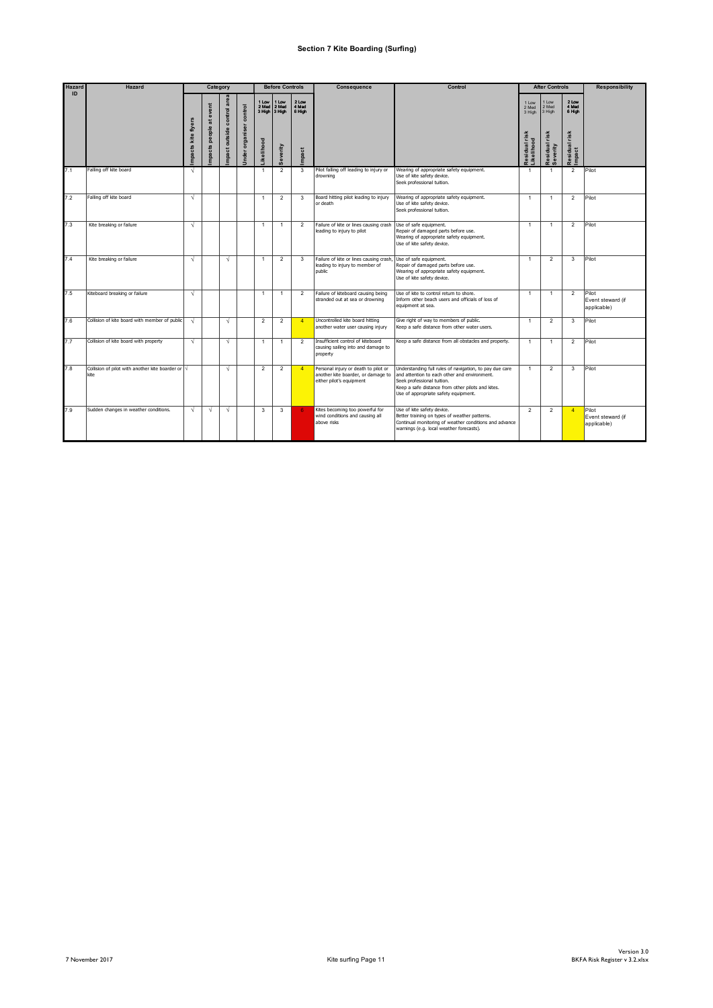#### **Section 7 Kite Boarding (Surfing)**

| Hazard | <b>Hazard</b>                                                     |             | Category                       |                            |                                |                | <b>Before Controls</b>          |                          | Consequence                                                                                            | Control                                                                                                                                                                                                                            |                                                                    | <b>After Controls</b>                                 |                                           | <b>Responsibility</b>                     |
|--------|-------------------------------------------------------------------|-------------|--------------------------------|----------------------------|--------------------------------|----------------|---------------------------------|--------------------------|--------------------------------------------------------------------------------------------------------|------------------------------------------------------------------------------------------------------------------------------------------------------------------------------------------------------------------------------------|--------------------------------------------------------------------|-------------------------------------------------------|-------------------------------------------|-------------------------------------------|
| ID     |                                                                   | kite flyers | atevent<br>people<br><b>SB</b> | mpact outside control area | <b>Jnder organiser control</b> | 1 Low<br>2 Med | 1 Low<br>2 Med<br>3 High 3 High | 2 Low<br>4 Med<br>6 High |                                                                                                        |                                                                                                                                                                                                                                    | 11 <sub>ow</sub><br>2 Med<br>3 High<br>Residual risk<br>Likelihood | 1 Low<br>2 Med<br>3 High<br>Residual risk<br>Severity | 2 Low<br>4 Med<br>6 High<br>Residual risk |                                           |
|        |                                                                   | mpacts      | mpact                          |                            |                                | .ikelihood     | Severity                        | mpact                    |                                                                                                        |                                                                                                                                                                                                                                    |                                                                    |                                                       | mpact                                     |                                           |
| 7.1    | Falling off kite board                                            | V           |                                |                            |                                | $\overline{1}$ | $\overline{2}$                  | 3                        | Pilot falling off leading to injury or<br>drowning                                                     | Wearing of appropriate safety equipment.<br>Use of kite safety device.<br>Seek professional tuition.                                                                                                                               | $\overline{1}$                                                     | -1                                                    | $\overline{2}$                            | Pilot                                     |
| 7.2    | Falling off kite board                                            | V           |                                |                            |                                | $\mathbf{1}$   | $\overline{2}$                  | 3                        | Board hitting pilot leading to injury<br>or death                                                      | Wearing of appropriate safety equipment.<br>Use of kite safety device.<br>Seek professional tuition.                                                                                                                               | $\mathbf{1}$                                                       | $\overline{1}$                                        | $\overline{2}$                            | Pilot                                     |
| 7.3    | Kite breaking or failure                                          | $\sqrt{ }$  |                                |                            |                                | $\overline{1}$ | $\overline{1}$                  | $\mathcal{P}$            | Failure of kite or lines causing crash<br>leading to injury to pilot                                   | Use of safe equipment.<br>Repair of damaged parts before use.<br>Wearing of appropriate safety equipment.<br>Use of kite safety device.                                                                                            | $\overline{1}$                                                     | $\overline{1}$                                        | $\overline{2}$                            | Pilot                                     |
| 74     | Kite breaking or failure                                          | $\sqrt{ }$  |                                | $\sqrt{ }$                 |                                | $\overline{1}$ | $\overline{2}$                  | $\mathbf{3}$             | Failure of kite or lines causing crash<br>leading to injury to member of<br>public                     | Use of safe equipment.<br>Repair of damaged parts before use.<br>Wearing of appropriate safety equipment.<br>Use of kite safety device.                                                                                            | $\mathbf{1}$                                                       | $\mathfrak{p}$                                        | $\mathbf{3}$                              | Pilot                                     |
| 7.5    | Kiteboard breaking or failure                                     | $\sqrt{ }$  |                                |                            |                                | $\overline{1}$ | $\overline{1}$                  | $\overline{2}$           | Failure of kiteboard causing being<br>stranded out at sea or drowning                                  | Use of kite to control return to shore.<br>Inform other beach users and officials of loss of<br>equipment at sea.                                                                                                                  | $\overline{1}$                                                     | $\overline{1}$                                        | $\overline{2}$                            | Pilot<br>Event steward (if<br>applicable) |
| 7.6    | Collision of kite board with member of public                     | $\sqrt{ }$  |                                | $\sqrt{ }$                 |                                | $\overline{2}$ | $\overline{2}$                  | $\overline{4}$           | Uncontrolled kite board hitting<br>another water user causing injury                                   | Give right of way to members of public.<br>Keep a safe distance from other water users.                                                                                                                                            | $\mathbf{1}$                                                       | $\overline{2}$                                        | 3                                         | Pilot                                     |
| 7.7    | Collision of kite board with property                             | $\sqrt{ }$  |                                | $\sqrt{2}$                 |                                | $\overline{1}$ | $\mathbf{1}$                    | $\mathcal{P}$            | Insufficient control of kiteboard<br>causing sailing into and damage to<br>property                    | Keep a safe distance from all obstacles and property.                                                                                                                                                                              | $\overline{1}$                                                     | $\overline{1}$                                        | $\overline{2}$                            | Pilot                                     |
| 7.8    | Collision of pilot with another kite boarder or $\sqrt{}$<br>kite |             |                                | $\sqrt{ }$                 |                                | $\overline{2}$ | $\overline{2}$                  | $\overline{4}$           | Personal injury or death to pilot or<br>another kite boarder, or damage to<br>either pilot's equipment | Understanding full rules of navigation, to pay due care<br>and attention to each other and environment.<br>Seek professional tuition.<br>Keep a safe distance from other pilots and kites.<br>Use of appropriate safety equipment. | $\mathbf{1}$                                                       | $\overline{2}$                                        | 3                                         | Pilot                                     |
| 7.9    | Sudden changes in weather conditions.                             | V           | $\sqrt{ }$                     | $\sqrt{ }$                 |                                | 3              | 3                               | ĥ                        | Kites becoming too powerful for<br>wind conditions and causing all<br>above risks                      | Use of kite safety device.<br>Better training on types of weather patterns.<br>Continual monitoring of weather conditions and advance<br>warnings (e.g. local weather forecasts).                                                  | $\overline{2}$                                                     | $\overline{2}$                                        | $\overline{4}$                            | Pilot<br>Event steward (if<br>applicable) |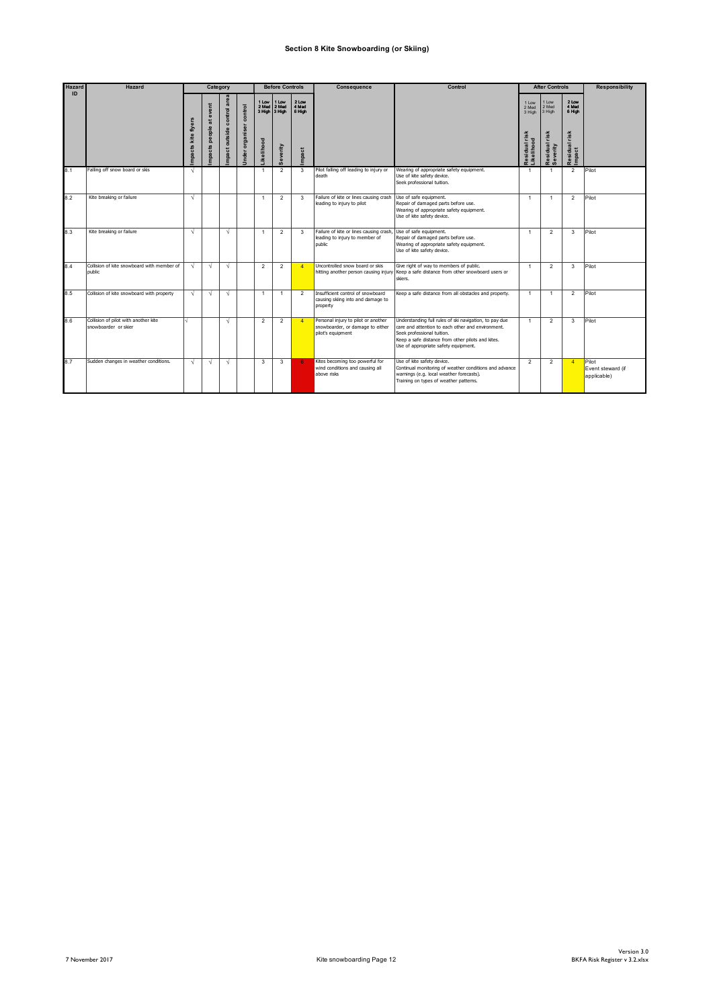#### **Section 8 Kite Snowboarding (or Skiing)**

| <b>Hazard</b> | <b>Hazard</b>                                                |                       | Category                                    |                            |                               |                           | <b>Before Controls</b>                            |                                   | Consequence                                                                                  | Control                                                                                                                                                                                                                                |                                                         | <b>After Controls</b>                                 |                                                          | <b>Responsibility</b>                     |
|---------------|--------------------------------------------------------------|-----------------------|---------------------------------------------|----------------------------|-------------------------------|---------------------------|---------------------------------------------------|-----------------------------------|----------------------------------------------------------------------------------------------|----------------------------------------------------------------------------------------------------------------------------------------------------------------------------------------------------------------------------------------|---------------------------------------------------------|-------------------------------------------------------|----------------------------------------------------------|-------------------------------------------|
| ID            |                                                              | kite flyers<br>mpacts | event<br>$\overline{a}$<br>people<br>mpacts | mpact outside control area | control<br>organiser<br>Under | 2 Med<br><b>ikelihood</b> | 1 Low 1 Low<br>2 Med<br>3 High 3 High<br>Severity | 2 Low<br>4 Med<br>6 High<br>mpact |                                                                                              |                                                                                                                                                                                                                                        | 1 Low<br>2 Med<br>3 High<br>Residual risk<br>Likelihood | 1 Low<br>2 Med<br>3 High<br>Residual risk<br>Severity | 2 Low<br>4 Med<br>6 High<br>risk<br>Residual r<br>Impact |                                           |
| 8.1           | Falling off snow board or skis                               | $\sqrt{ }$            |                                             |                            |                               | -1                        | $\overline{2}$                                    | $\mathbf{3}$                      | Pilot falling off leading to injury or<br>death                                              | Wearing of appropriate safety equipment.<br>Use of kite safety device.<br>Seek professional tuition.                                                                                                                                   | $\mathbf{1}$                                            | $\overline{1}$                                        | $\overline{2}$                                           | Pilot                                     |
| 8.2           | Kite breaking or failure                                     | $\sqrt{ }$            |                                             |                            |                               |                           | $\overline{2}$                                    | $\mathbf{3}$                      | Failure of kite or lines causing crash<br>leading to injury to pilot                         | Use of safe equipment.<br>Repair of damaged parts before use.<br>Wearing of appropriate safety equipment.<br>Use of kite safety device.                                                                                                | $\overline{1}$                                          | $\overline{1}$                                        | $\overline{2}$                                           | Pilot                                     |
| 8.3           | Kite breaking or failure                                     | V                     |                                             | $\sqrt{ }$                 |                               |                           | $\overline{2}$                                    | 3                                 | Failure of kite or lines causing crash<br>leading to injury to member of<br>public           | Use of safe equipment.<br>Repair of damaged parts before use.<br>Wearing of appropriate safety equipment.<br>Use of kite safety device.                                                                                                | $\overline{1}$                                          | $\overline{2}$                                        | 3                                                        | Pilot                                     |
| 8.4           | Collision of kite snowboard with member of<br>public         | $\sqrt{ }$            | $\sqrt{ }$                                  | $\sqrt{ }$                 |                               | $\mathfrak{p}$            | $\overline{2}$                                    | $\overline{4}$                    | Uncontrolled snow board or skis<br>hitting another person causing injury                     | Give right of way to members of public.<br>Keep a safe distance from other snowboard users or<br>skiers.                                                                                                                               | $\overline{1}$                                          | $\mathcal{P}$                                         | 3                                                        | Pilot                                     |
| 8.5           | Collision of kite snowboard with property                    | $\sqrt{ }$            | $\sqrt{ }$                                  | $\sqrt{ }$                 |                               | $\overline{1}$            | $\mathbf{1}$                                      | $\mathcal{P}$                     | Insufficient control of snowboard<br>causing skiing into and damage to<br>property           | Keep a safe distance from all obstacles and property.                                                                                                                                                                                  | $\overline{1}$                                          | $\overline{1}$                                        | $\overline{2}$                                           | Pilot                                     |
| 8.6           | Collision of pilot with another kite<br>snowboarder or skier |                       |                                             | $\sqrt{ }$                 |                               | $\mathfrak{p}$            | $\overline{2}$                                    | $\overline{4}$                    | Personal injury to pilot or another<br>snowboarder, or damage to either<br>pilot's equipment | Understanding full rules of ski navigation, to pay due<br>care and attention to each other and environment.<br>Seek professional tuition.<br>Keep a safe distance from other pilots and kites.<br>Use of appropriate safety equipment. | $\overline{1}$                                          | $\mathcal{P}$                                         | 3                                                        | Pilot                                     |
| 8.7           | Sudden changes in weather conditions.                        | $\sqrt{ }$            | $\sqrt{ }$                                  | $\sqrt{ }$                 |                               | 3                         | 3                                                 | -6.                               | Kites becoming too powerful for<br>wind conditions and causing all<br>ahove risks            | Use of kite safety device.<br>Continual monitoring of weather conditions and advance<br>warnings (e.g. local weather forecasts).<br>Training on types of weather patterns.                                                             | $\overline{2}$                                          | $\overline{2}$                                        | $\overline{4}$                                           | Pilot<br>Event steward (if<br>applicable) |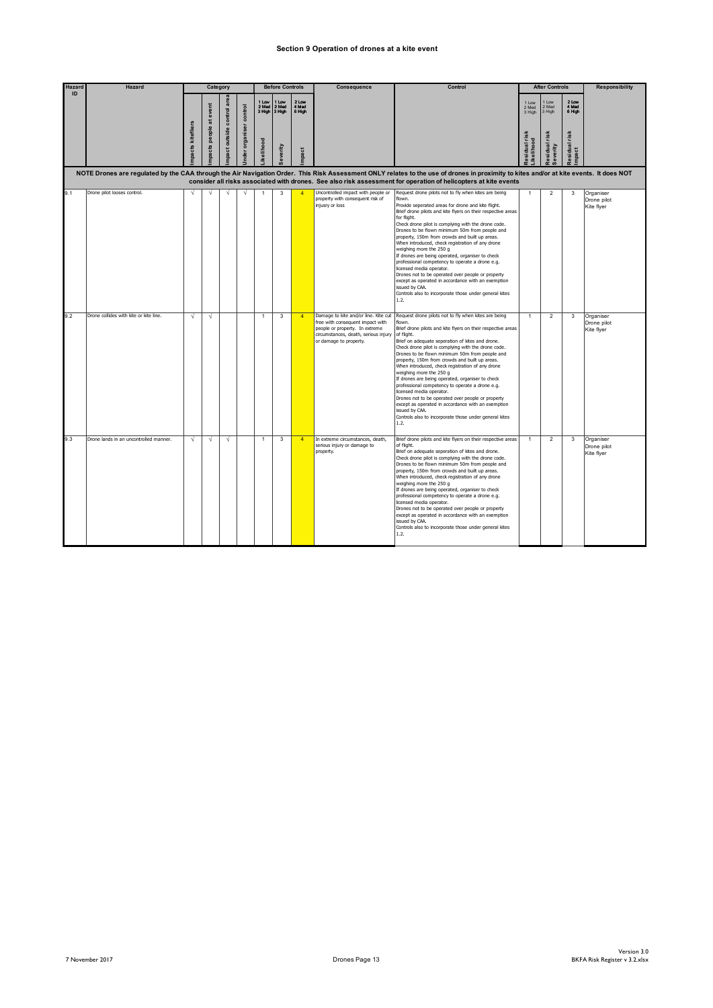#### **Section 9 Operation of drones at a kite event**

| Hazard | <b>Hazard</b>                                                                                                                                                                                                                                                                                             | Category         |                 |               |                   | <b>Before Controls</b> |                                       | Consequence              | Control                                                                                                                                                                      |                                                                                                                                                                                                                                                                                                                                                                                                                                                                                                                                                                                                                                                                                                                                                                                 | <b>After Controls</b>    |                          | <b>Responsibility</b>     |                                        |
|--------|-----------------------------------------------------------------------------------------------------------------------------------------------------------------------------------------------------------------------------------------------------------------------------------------------------------|------------------|-----------------|---------------|-------------------|------------------------|---------------------------------------|--------------------------|------------------------------------------------------------------------------------------------------------------------------------------------------------------------------|---------------------------------------------------------------------------------------------------------------------------------------------------------------------------------------------------------------------------------------------------------------------------------------------------------------------------------------------------------------------------------------------------------------------------------------------------------------------------------------------------------------------------------------------------------------------------------------------------------------------------------------------------------------------------------------------------------------------------------------------------------------------------------|--------------------------|--------------------------|---------------------------|----------------------------------------|
| ID     |                                                                                                                                                                                                                                                                                                           |                  | at event        | control are   | organiser control | 1 Low                  | I Low<br>2 Med 2 Med<br>3 High 3 High | 2 Low<br>4 Med<br>6 High |                                                                                                                                                                              |                                                                                                                                                                                                                                                                                                                                                                                                                                                                                                                                                                                                                                                                                                                                                                                 | 1 Low<br>2 Med<br>3 High | Low<br>2 Med<br>3 High   | 2 Low<br>4 Med<br>6 High  |                                        |
|        |                                                                                                                                                                                                                                                                                                           | pacts kitefliers | people<br>pacts | npact outside | nder              | kelihood               | everity                               | mpact                    |                                                                                                                                                                              |                                                                                                                                                                                                                                                                                                                                                                                                                                                                                                                                                                                                                                                                                                                                                                                 | esidual risk<br>kelihood | Residual risk<br>everity | risk<br>tesidual<br>mpact |                                        |
|        | NOTE Drones are regulated by the CAA through the Air Navigation Order. This Risk Assessment ONLY relates to the use of drones in proximity to kites and/or at kite events. It does NOT<br>consider all risks associated with drones. See also risk assessment for operation of helicopters at kite events |                  |                 |               |                   |                        |                                       |                          |                                                                                                                                                                              |                                                                                                                                                                                                                                                                                                                                                                                                                                                                                                                                                                                                                                                                                                                                                                                 |                          |                          |                           |                                        |
| 9.1    | Drone pilot looses control.                                                                                                                                                                                                                                                                               | $\sqrt{ }$       |                 | V             |                   |                        | 3                                     |                          | Uncontrolled impact with people or<br>property with consequent risk of<br>injusry or loss                                                                                    | Request drone pilots not to fly when kites are being<br>flown.<br>Provide seperated areas for drone and kite flight.<br>Brief drone pilots and kite flyers on their respective areas<br>for flight.<br>Check drone pilot is complying with the drone code.<br>Drones to be flown minimum 50m from people and<br>property, 150m from crowds and built up areas.<br>When introduced, check registration of any drone<br>weighing more the 250 g<br>If drones are being operated, organiser to check<br>professional competency to operate a drone e.g.<br>licensed media operator.<br>Drones not to be operated over people or property<br>except as operated in accordance with an exemption<br>issued by CAA.<br>Controls also to incorporate those under general kites<br>1.2. | $\mathbf{1}$             | $\overline{2}$           | 3                         | Organiser<br>Drone pilot<br>Kite flyer |
| 9.2    | Drone collides with kite or kite line.                                                                                                                                                                                                                                                                    | $\sqrt{ }$       | $\sqrt{ }$      |               |                   | 1                      | 3                                     | $\overline{4}$           | Damage to kite and/or line. Kite cut<br>free with consequent impact with<br>people or property. In extreme<br>circumstances, death, serious injury<br>or damage to property. | Request drone pilots not to fly when kites are being<br>flown.<br>Brief drone pilots and kite flyers on their respective areas<br>of flight.<br>Brief on adequate seperation of kites and drone.<br>Check drone pilot is complying with the drone code.<br>Drones to be flown minimum 50m from people and<br>property, 150m from crowds and built up areas.<br>When introduced, check registration of any drone<br>weighing more the 250 g<br>If drones are being operated, organiser to check<br>professional competency to operate a drone e.g.<br>licensed media operator.<br>Drones not to be operated over people or property<br>except as operated in accordance with an exemption<br>issued by CAA.<br>Controls also to incorporate those under general kites<br>1.2.    | $\mathbf{1}$             | $\overline{2}$           | 3                         | Organiser<br>Drone pilot<br>Kite flyer |
| 9.3    | Drone lands in an uncontrolled manner.                                                                                                                                                                                                                                                                    | $\sqrt{ }$       | $\sqrt{ }$      | $\sqrt{ }$    |                   | $\mathbf{1}$           | 3                                     | $\overline{4}$           | In extreme circumstances, death,<br>serious injury or damage to<br>property.                                                                                                 | Brief drone pilots and kite flyers on their respective areas<br>of flight.<br>Brief on adequate seperation of kites and drone.<br>Check drone pilot is complying with the drone code.<br>Drones to be flown minimum 50m from people and<br>property, 150m from crowds and built up areas.<br>When introduced, check registration of any drone<br>weighing more the 250 g<br>If drones are being operated, organiser to check<br>professional competency to operate a drone e.g.<br>licensed media operator.<br>Drones not to be operated over people or property<br>except as operated in accordance with an exemption<br>issued by CAA.<br>Controls also to incorporate those under general kites<br>1.2.                                                                      | $\mathbf{1}$             | $\overline{2}$           | 3                         | Organiser<br>Drone pilot<br>Kite flyer |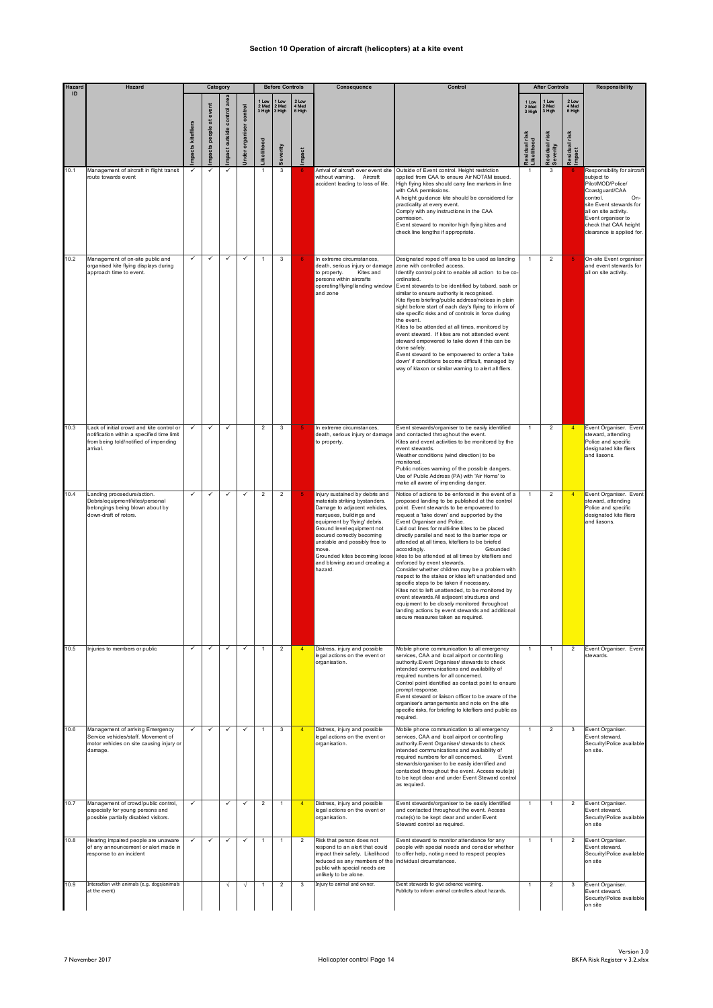#### **Section 10 Operation of aircraft (helicopters) at a kite event**

| Hazard | Hazard                                                                                                                                       | Category          |                     |               |                | <b>Before Controls</b> |                                       | Consequence              | Control                                                                                                                                                                                                                                                                                                                                         | <b>After Controls</b>                                                                                                                                                                                                                                                                                                                                                                                                                                                                                                                                                                                                                                                                                                                                                                                                                                                                                          |                                          |                           | <b>Responsibility</b>            |                                                                                                                                                                                                                                     |
|--------|----------------------------------------------------------------------------------------------------------------------------------------------|-------------------|---------------------|---------------|----------------|------------------------|---------------------------------------|--------------------------|-------------------------------------------------------------------------------------------------------------------------------------------------------------------------------------------------------------------------------------------------------------------------------------------------------------------------------------------------|----------------------------------------------------------------------------------------------------------------------------------------------------------------------------------------------------------------------------------------------------------------------------------------------------------------------------------------------------------------------------------------------------------------------------------------------------------------------------------------------------------------------------------------------------------------------------------------------------------------------------------------------------------------------------------------------------------------------------------------------------------------------------------------------------------------------------------------------------------------------------------------------------------------|------------------------------------------|---------------------------|----------------------------------|-------------------------------------------------------------------------------------------------------------------------------------------------------------------------------------------------------------------------------------|
| ID     |                                                                                                                                              |                   | at event<br>people. | control       | control        | 1 Low                  | 1 Low<br>2 Med 2 Med<br>3 High 3 High | 2 Low<br>4 Med<br>6 High |                                                                                                                                                                                                                                                                                                                                                 |                                                                                                                                                                                                                                                                                                                                                                                                                                                                                                                                                                                                                                                                                                                                                                                                                                                                                                                | 1 Low<br>2 Med<br>3 High<br><b>Irisk</b> | 1 Low<br>2 Med<br>3 High  | 2 Low<br>4 Med<br>6 High<br>risk |                                                                                                                                                                                                                                     |
|        |                                                                                                                                              | mpacts kitefliers | mpacts              | mpact outside | nder organiser | .ikelihood             | Severity                              | Impact                   |                                                                                                                                                                                                                                                                                                                                                 |                                                                                                                                                                                                                                                                                                                                                                                                                                                                                                                                                                                                                                                                                                                                                                                                                                                                                                                | Likelihood<br>esidual                    | Residual risk<br>Severity | Residual<br>Impact               |                                                                                                                                                                                                                                     |
| 10.1   | Management of aircraft in flight transit<br>route towards event                                                                              |                   |                     |               |                |                        | 3                                     |                          | Arrival of aircraft over event site<br>without warning. Aircraft<br>accident leading to loss of life.                                                                                                                                                                                                                                           | Outside of Event control. Height restriction<br>applied from CAA to ensure Air NOTAM issued.<br>High flying kites should carry line markers in line<br>with CAA permissions.<br>A height guidance kite should be considered for<br>practicality at every event.<br>Comply with any instructions in the CAA<br>permission.<br>Event steward to monitor high flying kites and<br>check line lengths if appropriate.                                                                                                                                                                                                                                                                                                                                                                                                                                                                                              |                                          | 3                         |                                  | Responsibility for aircraft<br>subject to<br>Pilot/MOD/Police/<br>Coastguard/CAA<br>control.<br>On-<br>site Event stewards for<br>all on site activity.<br>Event organiser to<br>check that CAA height<br>clearance is applied for. |
| 10.2   | Management of on-site public and<br>organised kite flying displays during<br>approach time to event.                                         | $\checkmark$      | ✓                   | ✓             | $\checkmark$   |                        | 3                                     |                          | In extreme circumstances,<br>death, serious injury or damage<br>to property.<br>Kites and<br>persons within aircrafts<br>operating/flying/landing window<br>and zone                                                                                                                                                                            | Designated roped off area to be used as landing<br>zone with controlled access.<br>Identify control point to enable all action to be co-<br>ordinated.<br>Event stewards to be identified by tabard, sash or<br>similar to ensure authority is recognised.<br>Kite flyers briefing/public address/notices in plain<br>sight before start of each day's flying to inform of<br>site specific risks and of controls in force during<br>the event.<br>Kites to be attended at all times, monitored by<br>event steward. If kites are not attended event<br>steward empowered to take down if this can be<br>done safely.<br>Event steward to be empowered to order a 'take<br>down' if conditions become difficult, managed by<br>way of klaxon or similar warning to alert all fliers.                                                                                                                           | $\mathbf{1}$                             | $\overline{2}$            |                                  | On-site Event organiser<br>and event stewards for<br>all on site activity.                                                                                                                                                          |
| 10.3   | Lack of initial crowd and kite control or<br>notification within a specified time limit<br>from being told/notified of impending<br>arrival. |                   | ✓                   | $\checkmark$  |                | $\overline{2}$         | 3                                     |                          | In extreme circumstances,<br>death, serious injury or damage<br>to property.                                                                                                                                                                                                                                                                    | Event stewards/organiser to be easily identified<br>and contacted throughout the event.<br>Kites and event activities to be monitored by the<br>event stewards.<br>Weather conditions (wind direction) to be<br>monitored.<br>Public notices warning of the possible dangers.<br>Use of Public Address (PA) with 'Air Horns' to<br>make all aware of impending danger.                                                                                                                                                                                                                                                                                                                                                                                                                                                                                                                                         | $\mathbf{1}$                             | $\overline{\mathbf{c}}$   | $\overline{4}$                   | Event Organiser. Event<br>steward, attending<br>Police and specific<br>designated kite fliers<br>and liasons.                                                                                                                       |
| 10.4   | Landing proceedure/action.<br>Debris/equipment/kites/personal<br>belongings being blown about by<br>down-draft of rotors.                    |                   |                     |               | ✓              | $\overline{2}$         | $\overline{c}$                        |                          | Injury sustained by debris and<br>materials striking bystanders.<br>Damage to adjacent vehicles,<br>marquees, buildings and<br>equipment by 'flying' debris.<br>Ground level equipment not<br>secured correctly becoming<br>unstable and possibly free to<br>move.<br>Grounded kites becoming loose<br>and blowing around creating a<br>hazard. | Notice of actions to be enforced in the event of a<br>proposed landing to be published at the control<br>point. Event stewards to be empowered to<br>request a 'take down' and supported by the<br>Event Organiser and Police.<br>Laid out lines for multi-line kites to be placed<br>directly parallel and next to the barrier rope or<br>attended at all times, kitefliers to be briefed<br>accordingly.<br>Grounded<br>kites to be attended at all times by kitefliers and<br>enforced by event stewards.<br>Consider whether children may be a problem with<br>respect to the stakes or kites left unattended and<br>specific steps to be taken if necessary.<br>Kites not to left unattended, to be monitored by<br>event stewards. All adjacent structures and<br>equipment to be closely monitored throughout<br>landing actions by event stewards and additional<br>secure measures taken as required. |                                          | $\overline{2}$            |                                  | Event Organiser. Event<br>steward, attending<br>Police and specific<br>designated kite fliers<br>and liasons.                                                                                                                       |
| 10.5   | Injuries to members or public                                                                                                                | ✓                 | ✓                   | ✓             | $\checkmark$   | $\mathbf{1}$           | $\overline{a}$                        | $\overline{4}$           | Distress, injury and possible<br>legal actions on the event or<br>organisation.                                                                                                                                                                                                                                                                 | Mobile phone communication to all emergency<br>services, CAA and local airport or controlling<br>authority.Event Organiser/ stewards to check<br>intended communications and availability of<br>required numbers for all concerned.<br>Control point identified as contact point to ensure<br>prompt response.<br>Event steward or liaison officer to be aware of the<br>organiser's arrangements and note on the site<br>specific risks, for briefing to kitefliers and public as<br>required.                                                                                                                                                                                                                                                                                                                                                                                                                | 1                                        | $\mathbf{1}$              | $\overline{2}$                   | Event Organiser. Event<br>stewards.                                                                                                                                                                                                 |
| 10.6   | Management of arriving Emergency<br>Service vehicles/staff. Movement of<br>motor vehicles on site causing injury or<br>damage.               | $\checkmark$      | $\checkmark$        | $\checkmark$  | $\checkmark$   | $\overline{1}$         | 3                                     | $\overline{4}$           | Distress, injury and possible<br>legal actions on the event or<br>organisation.                                                                                                                                                                                                                                                                 | Mobile phone communication to all emergency<br>services, CAA and local airport or controlling<br>authority.Event Organiser/ stewards to check<br>intended communications and availability of<br>required numbers for all concerned.<br>Event<br>stewards/organiser to be easily identified and<br>contacted throughout the event. Access route(s)<br>to be kept clear and under Event Steward control<br>as required.                                                                                                                                                                                                                                                                                                                                                                                                                                                                                          | $\mathbf{1}$                             | $\overline{2}$            | 3                                | Event Organiser.<br>Event steward.<br>Security/Police available<br>on site.                                                                                                                                                         |
| 10.7   | Management of crowd/public control,<br>especially for young persons and<br>possible partially disabled visitors.                             | √                 |                     | $\checkmark$  | $\checkmark$   | $\overline{2}$         | $\mathbf{1}$                          | $\overline{4}$           | Distress, injury and possible<br>legal actions on the event or<br>organisation.                                                                                                                                                                                                                                                                 | Event stewards/organiser to be easily identified<br>and contacted throughout the event. Access<br>route(s) to be kept clear and under Event<br>Steward control as required.                                                                                                                                                                                                                                                                                                                                                                                                                                                                                                                                                                                                                                                                                                                                    | 1                                        | $\mathbf{1}$              | 2                                | Event Organiser.<br>Event steward.<br>Security/Police available<br>on site                                                                                                                                                          |
| 10.8   | Hearing impaired people are unaware<br>of any announcement or alert made in<br>response to an incident                                       |                   | ✓                   | $\checkmark$  | ✓              |                        | $\mathbf{1}$                          | $\overline{2}$           | Risk that person does not<br>respond to an alert that could<br>impact their safety. Likelihood<br>reduced as any members of the<br>public with special needs are<br>unlikely to be alone.                                                                                                                                                       | Event steward to monitor attendance for any<br>people with special needs and consider whether<br>to offer help, noting need to respect peoples<br>individual circumstances.                                                                                                                                                                                                                                                                                                                                                                                                                                                                                                                                                                                                                                                                                                                                    |                                          | $\mathbf{1}$              | $\overline{2}$                   | Event Organiser.<br>Event steward.<br>Security/Police available<br>on site                                                                                                                                                          |
| 10.9   | Interaction with animals (e.g. dogs/animals<br>at the event)                                                                                 |                   |                     | $\sqrt{}$     | V              | 1                      | $\overline{2}$                        | 3                        | Injury to animal and owner.                                                                                                                                                                                                                                                                                                                     | Event stewards to give advance warning.<br>Publicity to inform animal controllers about hazards.                                                                                                                                                                                                                                                                                                                                                                                                                                                                                                                                                                                                                                                                                                                                                                                                               | 1                                        | $\boldsymbol{2}$          | 3                                | Event Organiser.<br>Event steward.<br>Security/Police available<br>on site                                                                                                                                                          |